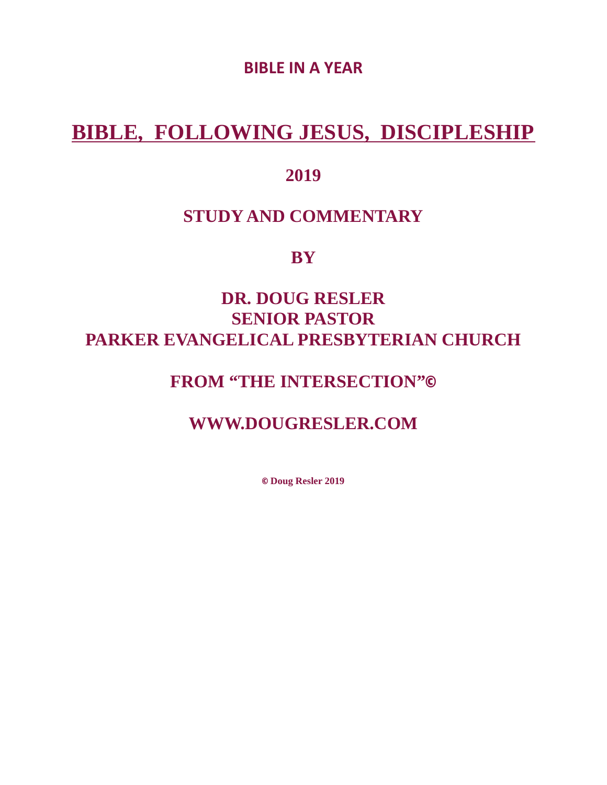### BIBLE IN A YEAR

# BIBLE, FOLLOWING JESUS, DISCIPLESHIP

### 2019

### STUDY AND COMMENTARY

**BY** 

## DR. DOUG RESLER SENIOR PASTOR PARKER EVANGELICAL PRESBYTERIAN CHURCH

### FROM "THE INTERSECTION"©

### WWW.DOUGRESLER.COM

© Doug Resler 2019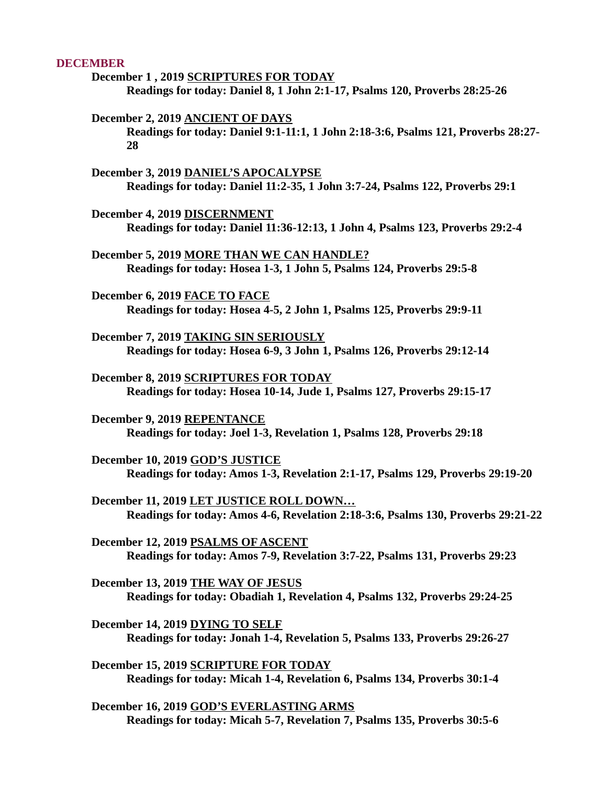#### DECEMBER

December 1 , 2019 SCRIPTURES FOR TODAY [Readings for today: Daniel 8, 1 John 2:1-17, Psalms 120, Proverbs 28:25-26](#page-3-0) 

December 2, 2019 ANCIENT OF DAYS [Readings for today: Daniel 9:1-11:1, 1 John 2:18-3:6, Psalms 121, Proverbs 28:27-](#page-4-0) 28

- December 3, 2019 DANIEL'S APOCALYPSE [Readings for today: Daniel 11:2-35, 1 John 3:7-24, Psalms 122, Proverbs 29:1](#page-6-0)
- December 4, 2019 DISCERNMENT [Readings for today: Daniel 11:36-12:13, 1 John 4, Psalms 123, Proverbs 29:2-4](#page-8-0)
- December 5, 2019 MORE THAN WE CAN HANDLE? [Readings for today: Hosea 1-3, 1 John 5, Psalms 124, Proverbs 29:5-8](#page-9-0)

December 6, 2019 FACE TO FACE [Readings for today: Hosea 4-5, 2 John 1, Psalms 125, Proverbs 29:9-11](#page-11-0)

- December 7, 2019 TAKING SIN SERIOUSLY [Readings for today: Hosea 6-9, 3 John 1, Psalms 126, Proverbs 29:12-14](#page-12-0)
- December 8, 2019 SCRIPTURES FOR TODAY [Readings for today: Hosea 10-14, Jude 1, Psalms 127, Proverbs 29:15-17](#page-13-0)

December 9, 2019 REPENTANCE [Readings for today: Joel 1-3, Revelation 1, Psalms 128, Proverbs 29:18](#page-14-0)

December 10, 2019 GOD'S JUSTICE [Readings for today: Amos 1-3, Revelation 2:1-17, Psalms 129, Proverbs 29:19-20](#page-16-0)

December 11, 2019 LET JUSTICE ROLL DOWN… [Readings for today: Amos 4-6, Revelation 2:18-3:6, Psalms 130, Proverbs 29:21-22](#page-17-0)

December 12, 2019 PSALMS OF ASCENT [Readings for today: Amos 7-9, Revelation 3:7-22, Psalms 131, Proverbs 29:23](#page-20-0)

December 13, 2019 THE WAY OF JESUS [Readings for today: Obadiah 1, Revelation 4, Psalms 132, Proverbs 29:24-25](#page-21-0)

December 14, 2019 DYING TO SELF [Readings for today: Jonah 1-4, Revelation 5, Psalms 133, Proverbs 29:26-27](#page-23-0)

December 15, 2019 SCRIPTURE FOR TODAY [Readings for today: Micah 1-4, Revelation 6, Psalms 134, Proverbs 30:1-4](#page-25-0)

December 16, 2019 GOD'S EVERLASTING ARMS [Readings for today: Micah 5-7, Revelation 7, Psalms 135, Proverbs 30:5-6](#page-26-0)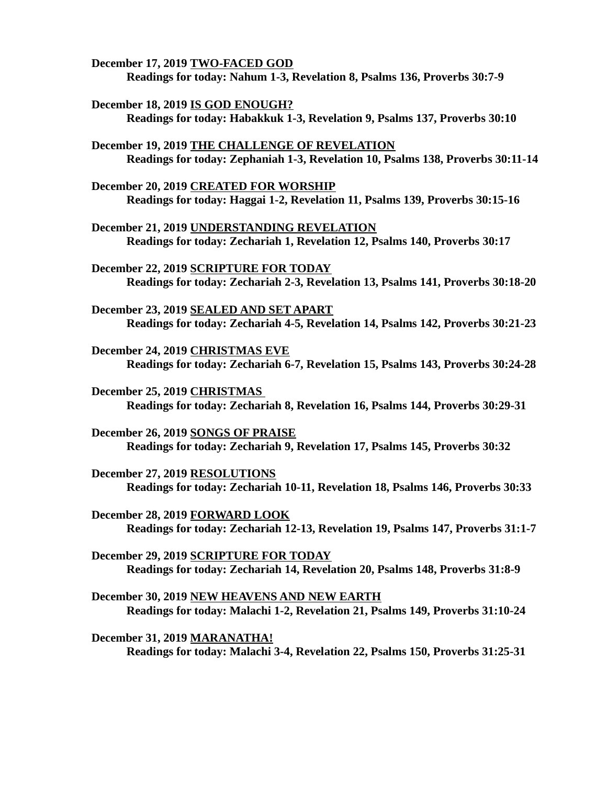December 17, 2019 TWO-FACED GOD [Readings for today: Nahum 1-3, Revelation 8, Psalms 136, Proverbs 30:7-9](#page-28-0)

December 18, 2019 IS GOD ENOUGH? [Readings for today: Habakkuk 1-3, Revelation 9, Psalms 137, Proverbs 30:10](#page-30-0)

December 19, 2019 THE CHALLENGE OF REVELATION [Readings for today: Zephaniah 1-3, Revelation 10, Psalms 138, Proverbs 30:11-14](#page-32-0)

December 20, 2019 CREATED FOR WORSHIP [Readings for today: Haggai 1-2, Revelation 11, Psalms 139, Proverbs 30:15-16](#page-34-0)

December 21, 2019 UNDERSTANDING REVELATION [Readings for today: Zechariah 1, Revelation 12, Psalms 140, Proverbs 30:17](#page-35-0)

December 22, 2019 SCRIPTURE FOR TODAY [Readings for today: Zechariah 2-3, Revelation 13, Psalms 141, Proverbs 30:18-20](#page-37-0)

December 23, 2019 SEALED AND SET APART [Readings for today: Zechariah 4-5, Revelation 14, Psalms 142, Proverbs 30:21-23](#page-38-0)

December 24, 2019 CHRISTMAS EVE [Readings for today: Zechariah 6-7, Revelation 15, Psalms 143, Proverbs 30:24-28](#page-40-0)

December 25, 2019 CHRISTMAS [Readings for today: Zechariah 8, Revelation 16, Psalms 144, Proverbs 30:29-31](#page-41-0)

December 26, 2019 SONGS OF PRAISE [Readings for today: Zechariah 9, Revelation 17, Psalms 145, Proverbs 30:32](#page-42-0)

December 27, 2019 RESOLUTIONS [Readings for today: Zechariah 10-11, Revelation 18, Psalms 146, Proverbs 30:33](#page-44-0)

December 28, 2019 FORWARD LOOK [Readings for today: Zechariah 12-13, Revelation 19, Psalms 147, Proverbs 31:1-7](#page-46-0)

December 29, 2019 SCRIPTURE FOR TODAY [Readings for today: Zechariah 14, Revelation 20, Psalms 148, Proverbs 31:8-9](#page-48-0)

December 30, 2019 NEW HEAVENS AND NEW EARTH [Readings for today: Malachi 1-2, Revelation 21, Psalms 149, Proverbs 31:10-24](#page-49-0)

December 31, 2019 MARANATHA! [Readings for today: Malachi 3-4, Revelation 22, Psalms 150, Proverbs 31:25-31](#page-51-0)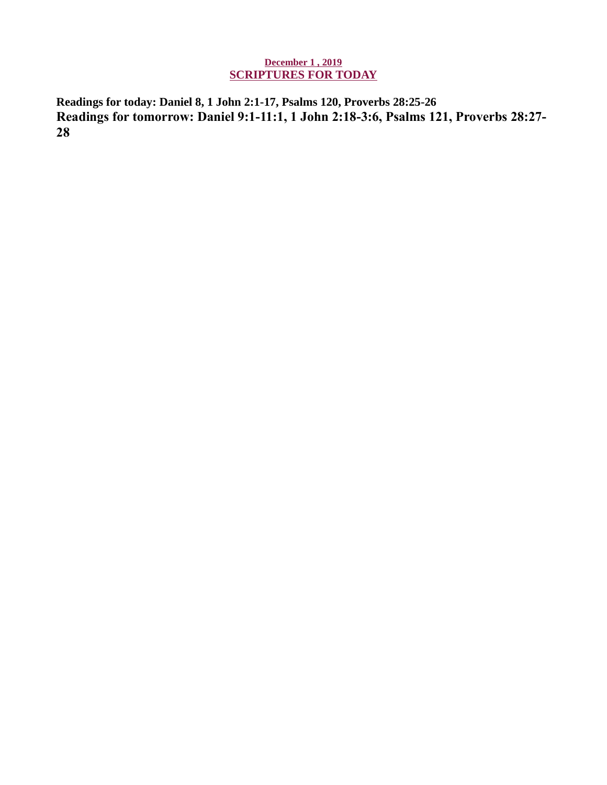#### December 1 , 2019 SCRIPTURES FOR TODAY

<span id="page-3-0"></span>Readings for today: [Daniel 8, 1 John 2:1-17, Psalms 120, Proverbs 28:25-26](https://www.biblegateway.com/passage/?search=Daniel+8%2C+1+John+2%3A1-17%2C+Psalms+120%2C+Proverbs+28%3A25-26+&version=ESV)  Readings for tomorrow: Daniel 9:1-11:1, 1 John 2:18-3:6, Psalms 121, Proverbs 28:27- 28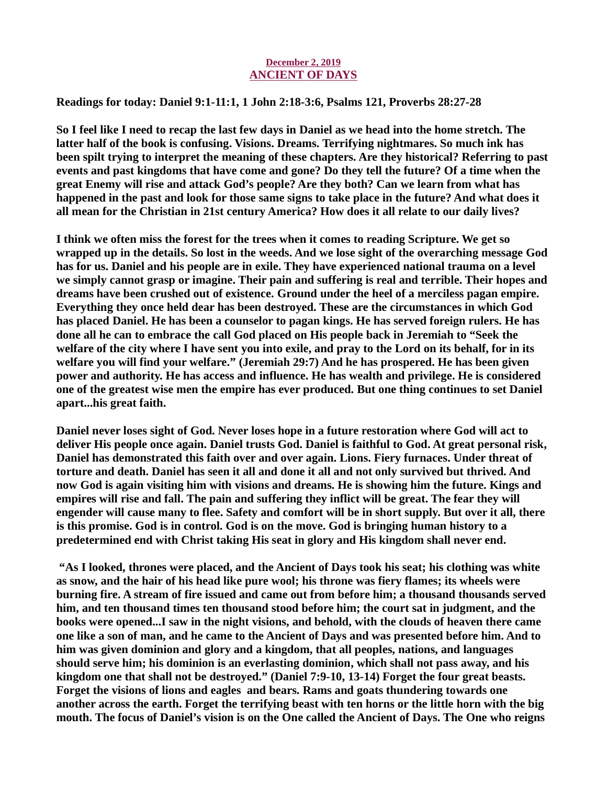#### December 2, 2019 ANCIENT OF DAYS

<span id="page-4-0"></span>Readings for today: [Daniel 9:1-11:1, 1 John 2:18-3:6, Psalms 121, Proverbs 28:27-28](https://www.biblegateway.com/passage/?search=Daniel+9%3A1-11%3A1%2C+1+John+2%3A18-3%3A6%2C+Psalms+121%2C+Proverbs+28%3A27-28&version=ESV)

So I feel like I need to recap the last few days in Daniel as we head into the home stretch. The latter half of the book is confusing. Visions. Dreams. Terrifying nightmares. So much ink has been spilt trying to interpret the meaning of these chapters. Are they historical? Referring to past events and past kingdoms that have come and gone? Do they tell the future? Of a time when the great Enemy will rise and attack God's people? Are they both? Can we learn from what has happened in the past and look for those same signs to take place in the future? And what does it all mean for the Christian in 21st century America? How does it all relate to our daily lives?

I think we often miss the forest for the trees when it comes to reading Scripture. We get so wrapped up in the details. So lost in the weeds. And we lose sight of the overarching message God has for us. Daniel and his people are in exile. They have experienced national trauma on a level we simply cannot grasp or imagine. Their pain and suffering is real and terrible. Their hopes and dreams have been crushed out of existence. Ground under the heel of a merciless pagan empire. Everything they once held dear has been destroyed. These are the circumstances in which God has placed Daniel. He has been a counselor to pagan kings. He has served foreign rulers. He has done all he can to embrace the call God placed on His people back in Jeremiah to "Seek the welfare of the city where I have sent you into exile, and pray to the Lord on its behalf, for in its welfare you will find your welfare." (Jeremiah 29:7) And he has prospered. He has been given power and authority. He has access and influence. He has wealth and privilege. He is considered one of the greatest wise men the empire has ever produced. But one thing continues to set Daniel apart...his great faith.

Daniel never loses sight of God. Never loses hope in a future restoration where God will act to deliver His people once again. Daniel trusts God. Daniel is faithful to God. At great personal risk, Daniel has demonstrated this faith over and over again. Lions. Fiery furnaces. Under threat of torture and death. Daniel has seen it all and done it all and not only survived but thrived. And now God is again visiting him with visions and dreams. He is showing him the future. Kings and empires will rise and fall. The pain and suffering they inflict will be great. The fear they will engender will cause many to flee. Safety and comfort will be in short supply. But over it all, there is this promise. God is in control. God is on the move. God is bringing human history to a predetermined end with Christ taking His seat in glory and His kingdom shall never end.

 "As I looked, thrones were placed, and the Ancient of Days took his seat; his clothing was white as snow, and the hair of his head like pure wool; his throne was fiery flames; its wheels were burning fire. A stream of fire issued and came out from before him; a thousand thousands served him, and ten thousand times ten thousand stood before him; the court sat in judgment, and the books were opened...I saw in the night visions, and behold, with the clouds of heaven there came one like a son of man, and he came to the Ancient of Days and was presented before him. And to him was given dominion and glory and a kingdom, that all peoples, nations, and languages should serve him; his dominion is an everlasting dominion, which shall not pass away, and his kingdom one that shall not be destroyed." (Daniel 7:9-10, 13-14) Forget the four great beasts. Forget the visions of lions and eagles and bears. Rams and goats thundering towards one another across the earth. Forget the terrifying beast with ten horns or the little horn with the big mouth. The focus of Daniel's vision is on the One called the Ancient of Days. The One who reigns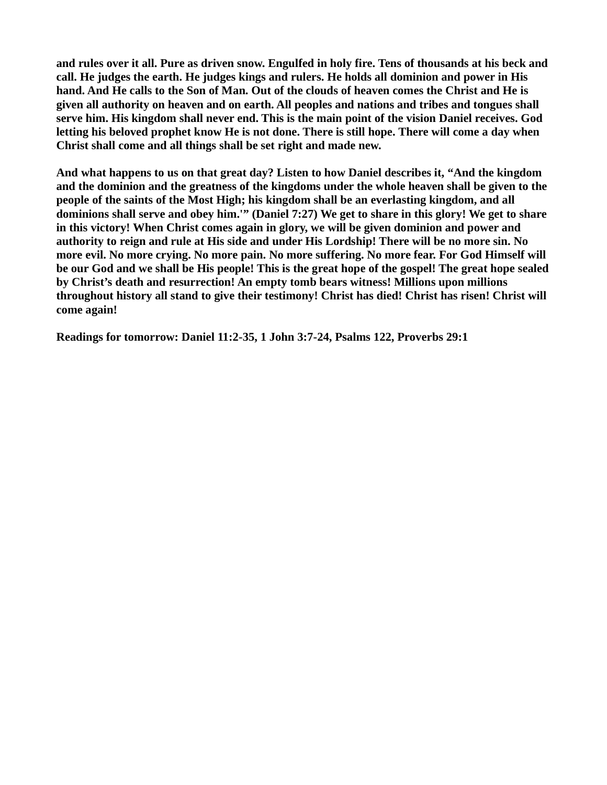and rules over it all. Pure as driven snow. Engulfed in holy fire. Tens of thousands at his beck and call. He judges the earth. He judges kings and rulers. He holds all dominion and power in His hand. And He calls to the Son of Man. Out of the clouds of heaven comes the Christ and He is given all authority on heaven and on earth. All peoples and nations and tribes and tongues shall serve him. His kingdom shall never end. This is the main point of the vision Daniel receives. God letting his beloved prophet know He is not done. There is still hope. There will come a day when Christ shall come and all things shall be set right and made new.

And what happens to us on that great day? Listen to how Daniel describes it, "And the kingdom and the dominion and the greatness of the kingdoms under the whole heaven shall be given to the people of the saints of the Most High; his kingdom shall be an everlasting kingdom, and all dominions shall serve and obey him.'" (Daniel 7:27) We get to share in this glory! We get to share in this victory! When Christ comes again in glory, we will be given dominion and power and authority to reign and rule at His side and under His Lordship! There will be no more sin. No more evil. No more crying. No more pain. No more suffering. No more fear. For God Himself will be our God and we shall be His people! This is the great hope of the gospel! The great hope sealed by Christ's death and resurrection! An empty tomb bears witness! Millions upon millions throughout history all stand to give their testimony! Christ has died! Christ has risen! Christ will come again!

Readings for tomorrow: Daniel 11:2-35, 1 John 3:7-24, Psalms 122, Proverbs 29:1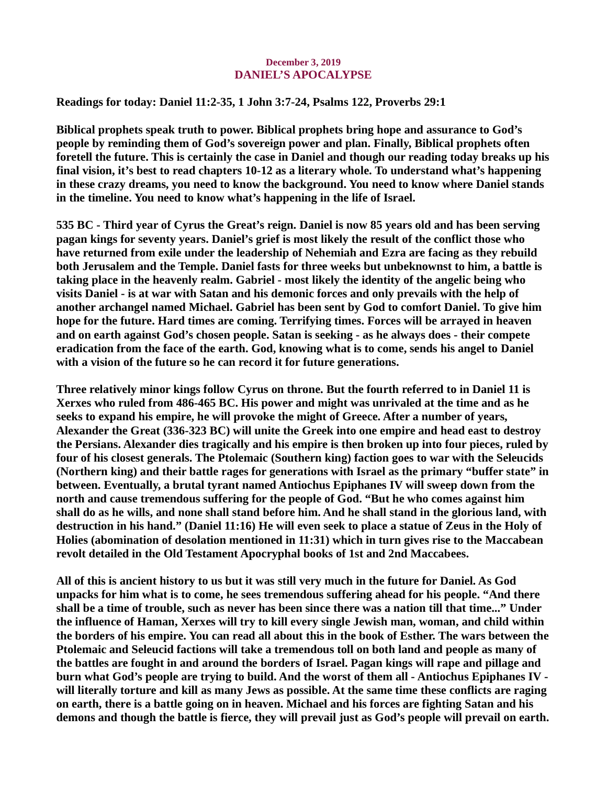#### December 3, 2019 DANIEL'S APOCALYPSE

<span id="page-6-0"></span>Readings for today: [Daniel 11:2-35, 1 John 3:7-24, Psalms 122, Proverbs 29:1](https://www.biblegateway.com/passage/?search=Daniel+11%3A2-35%2C+1+John+3%3A7-24%2C+Psalms+122%2C+Proverbs+29%3A1&version=ESV)

Biblical prophets speak truth to power. Biblical prophets bring hope and assurance to God's people by reminding them of God's sovereign power and plan. Finally, Biblical prophets often foretell the future. This is certainly the case in Daniel and though our reading today breaks up his final vision, it's best to read chapters 10-12 as a literary whole. To understand what's happening in these crazy dreams, you need to know the background. You need to know where Daniel stands in the timeline. You need to know what's happening in the life of Israel.

535 BC - Third year of Cyrus the Great's reign. Daniel is now 85 years old and has been serving pagan kings for seventy years. Daniel's grief is most likely the result of the conflict those who have returned from exile under the leadership of Nehemiah and Ezra are facing as they rebuild both Jerusalem and the Temple. Daniel fasts for three weeks but unbeknownst to him, a battle is taking place in the heavenly realm. Gabriel - most likely the identity of the angelic being who visits Daniel - is at war with Satan and his demonic forces and only prevails with the help of another archangel named Michael. Gabriel has been sent by God to comfort Daniel. To give him hope for the future. Hard times are coming. Terrifying times. Forces will be arrayed in heaven and on earth against God's chosen people. Satan is seeking - as he always does - their compete eradication from the face of the earth. God, knowing what is to come, sends his angel to Daniel with a vision of the future so he can record it for future generations.

Three relatively minor kings follow Cyrus on throne. But the fourth referred to in Daniel 11 is Xerxes who ruled from 486-465 BC. His power and might was unrivaled at the time and as he seeks to expand his empire, he will provoke the might of Greece. After a number of years, Alexander the Great (336-323 BC) will unite the Greek into one empire and head east to destroy the Persians. Alexander dies tragically and his empire is then broken up into four pieces, ruled by four of his closest generals. The Ptolemaic (Southern king) faction goes to war with the Seleucids (Northern king) and their battle rages for generations with Israel as the primary "buffer state" in between. Eventually, a brutal tyrant named Antiochus Epiphanes IV will sweep down from the north and cause tremendous suffering for the people of God. "But he who comes against him shall do as he wills, and none shall stand before him. And he shall stand in the glorious land, with destruction in his hand." (Daniel 11:16) He will even seek to place a statue of Zeus in the Holy of Holies (abomination of desolation mentioned in 11:31) which in turn gives rise to the Maccabean revolt detailed in the Old Testament Apocryphal books of 1st and 2nd Maccabees.

All of this is ancient history to us but it was still very much in the future for Daniel. As God unpacks for him what is to come, he sees tremendous suffering ahead for his people. "And there shall be a time of trouble, such as never has been since there was a nation till that time..." Under the influence of Haman, Xerxes will try to kill every single Jewish man, woman, and child within the borders of his empire. You can read all about this in the book of Esther. The wars between the Ptolemaic and Seleucid factions will take a tremendous toll on both land and people as many of the battles are fought in and around the borders of Israel. Pagan kings will rape and pillage and burn what God's people are trying to build. And the worst of them all - Antiochus Epiphanes IV will literally torture and kill as many Jews as possible. At the same time these conflicts are raging on earth, there is a battle going on in heaven. Michael and his forces are fighting Satan and his demons and though the battle is fierce, they will prevail just as God's people will prevail on earth.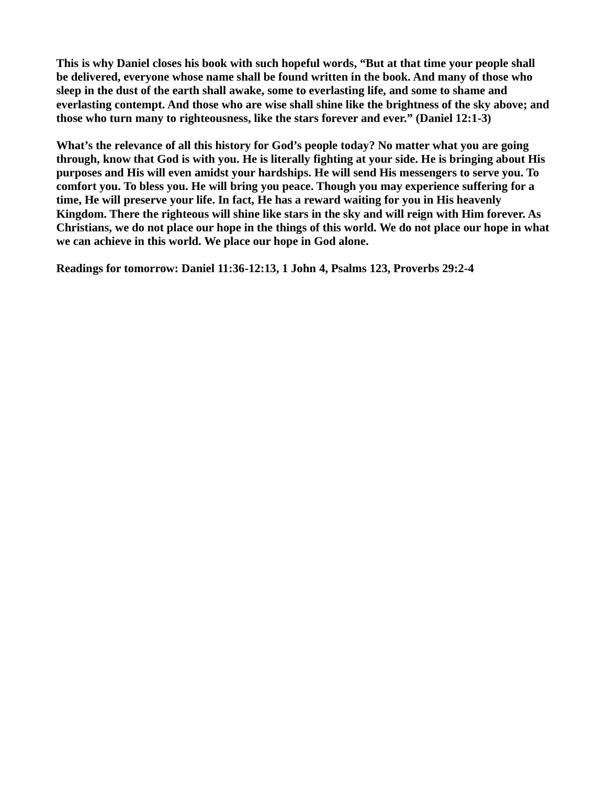This is why Daniel closes his book with such hopeful words, "But at that time your people shall be delivered, everyone whose name shall be found written in the book. And many of those who sleep in the dust of the earth shall awake, some to everlasting life, and some to shame and everlasting contempt. And those who are wise shall shine like the brightness of the sky above; and those who turn many to righteousness, like the stars forever and ever." (Daniel 12:1-3)

What's the relevance of all this history for God's people today? No matter what you are going through, know that God is with you. He is literally fighting at your side. He is bringing about His purposes and His will even amidst your hardships. He will send His messengers to serve you. To comfort you. To bless you. He will bring you peace. Though you may experience suffering for a time, He will preserve your life. In fact, He has a reward waiting for you in His heavenly Kingdom. There the righteous will shine like stars in the sky and will reign with Him forever. As Christians, we do not place our hope in the things of this world. We do not place our hope in what we can achieve in this world. We place our hope in God alone.

Readings for tomorrow: Daniel 11:36-12:13, 1 John 4, Psalms 123, Proverbs 29:2-4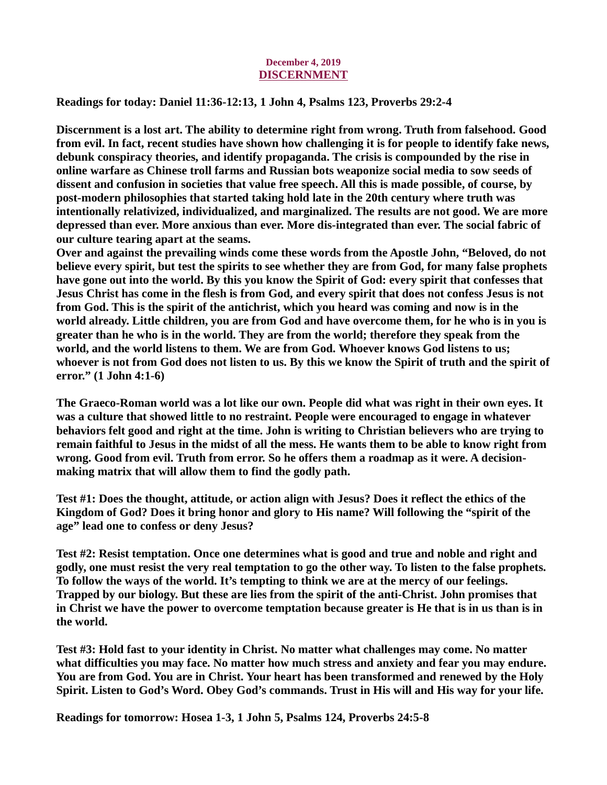#### December 4, 2019 DISCERNMENT

<span id="page-8-0"></span>Readings for today: [Daniel 11:36-12:13, 1 John 4, Psalms 123, Proverbs 29:2-4](https://www.biblegateway.com/passage/?search=Daniel+11%3A36-12%3A13%2C+1+John+4%2C+Psalms+123%2C+Proverbs+29%3A2-4&version=ESV)

Discernment is a lost art. The ability to determine right from wrong. Truth from falsehood. Good from evil. In fact, recent studies have shown how challenging it is for people to identify fake news, debunk conspiracy theories, and identify propaganda. The crisis is compounded by the rise in online warfare as Chinese troll farms and Russian bots weaponize social media to sow seeds of dissent and confusion in societies that value free speech. All this is made possible, of course, by post-modern philosophies that started taking hold late in the 20th century where truth was intentionally relativized, individualized, and marginalized. The results are not good. We are more depressed than ever. More anxious than ever. More dis-integrated than ever. The social fabric of our culture tearing apart at the seams.

Over and against the prevailing winds come these words from the Apostle John, "Beloved, do not believe every spirit, but test the spirits to see whether they are from God, for many false prophets have gone out into the world. By this you know the Spirit of God: every spirit that confesses that Jesus Christ has come in the flesh is from God, and every spirit that does not confess Jesus is not from God. This is the spirit of the antichrist, which you heard was coming and now is in the world already. Little children, you are from God and have overcome them, for he who is in you is greater than he who is in the world. They are from the world; therefore they speak from the world, and the world listens to them. We are from God. Whoever knows God listens to us; whoever is not from God does not listen to us. By this we know the Spirit of truth and the spirit of error." (1 John 4:1-6)

The Graeco-Roman world was a lot like our own. People did what was right in their own eyes. It was a culture that showed little to no restraint. People were encouraged to engage in whatever behaviors felt good and right at the time. John is writing to Christian believers who are trying to remain faithful to Jesus in the midst of all the mess. He wants them to be able to know right from wrong. Good from evil. Truth from error. So he offers them a roadmap as it were. A decisionmaking matrix that will allow them to find the godly path.

Test #1: Does the thought, attitude, or action align with Jesus? Does it reflect the ethics of the Kingdom of God? Does it bring honor and glory to His name? Will following the "spirit of the age" lead one to confess or deny Jesus?

Test #2: Resist temptation. Once one determines what is good and true and noble and right and godly, one must resist the very real temptation to go the other way. To listen to the false prophets. To follow the ways of the world. It's tempting to think we are at the mercy of our feelings. Trapped by our biology. But these are lies from the spirit of the anti-Christ. John promises that in Christ we have the power to overcome temptation because greater is He that is in us than is in the world.

Test #3: Hold fast to your identity in Christ. No matter what challenges may come. No matter what difficulties you may face. No matter how much stress and anxiety and fear you may endure. You are from God. You are in Christ. Your heart has been transformed and renewed by the Holy Spirit. Listen to God's Word. Obey God's commands. Trust in His will and His way for your life.

Readings for tomorrow: Hosea 1-3, 1 John 5, Psalms 124, Proverbs 24:5-8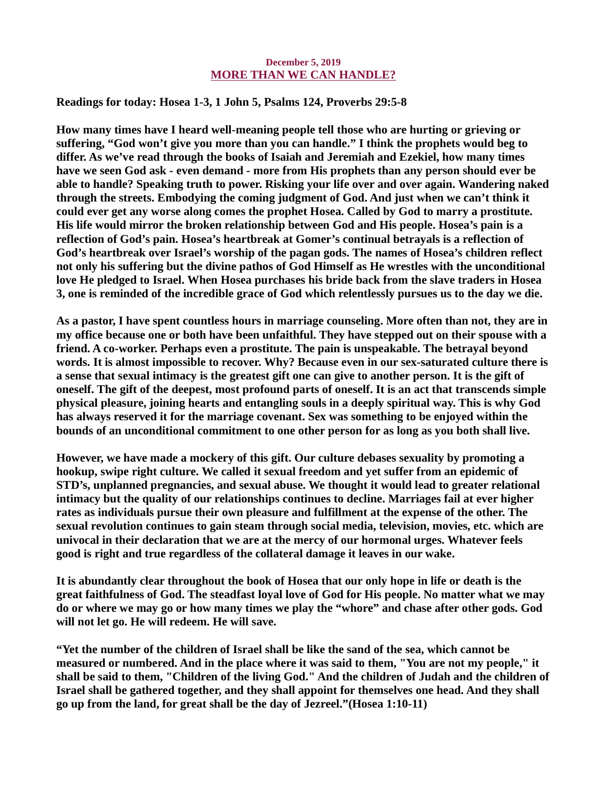#### December 5, 2019 MORE THAN WE CAN HANDLE?

#### <span id="page-9-0"></span>[Readings for today: Hosea 1-3, 1 John 5, Psalms 124, Proverbs 29:5-8](https://www.biblegateway.com/passage/?search=Hosea+1-3%2C+1+John+5%2C+Psalms+124%2C+Proverbs+29%3A5-8&version=ESV)

How many times have I heard well-meaning people tell those who are hurting or grieving or suffering, "God won't give you more than you can handle." I think the prophets would beg to differ. As we've read through the books of Isaiah and Jeremiah and Ezekiel, how many times have we seen God ask - even demand - more from His prophets than any person should ever be able to handle? Speaking truth to power. Risking your life over and over again. Wandering naked through the streets. Embodying the coming judgment of God. And just when we can't think it could ever get any worse along comes the prophet Hosea. Called by God to marry a prostitute. His life would mirror the broken relationship between God and His people. Hosea's pain is a reflection of God's pain. Hosea's heartbreak at Gomer's continual betrayals is a reflection of God's heartbreak over Israel's worship of the pagan gods. The names of Hosea's children reflect not only his suffering but the divine pathos of God Himself as He wrestles with the unconditional love He pledged to Israel. When Hosea purchases his bride back from the slave traders in Hosea 3, one is reminded of the incredible grace of God which relentlessly pursues us to the day we die.

As a pastor, I have spent countless hours in marriage counseling. More often than not, they are in my office because one or both have been unfaithful. They have stepped out on their spouse with a friend. A co-worker. Perhaps even a prostitute. The pain is unspeakable. The betrayal beyond words. It is almost impossible to recover. Why? Because even in our sex-saturated culture there is a sense that sexual intimacy is the greatest gift one can give to another person. It is the gift of oneself. The gift of the deepest, most profound parts of oneself. It is an act that transcends simple physical pleasure, joining hearts and entangling souls in a deeply spiritual way. This is why God has always reserved it for the marriage covenant. Sex was something to be enjoyed within the bounds of an unconditional commitment to one other person for as long as you both shall live.

However, we have made a mockery of this gift. Our culture debases sexuality by promoting a hookup, swipe right culture. We called it sexual freedom and yet suffer from an epidemic of STD's, unplanned pregnancies, and sexual abuse. We thought it would lead to greater relational intimacy but the quality of our relationships continues to decline. Marriages fail at ever higher rates as individuals pursue their own pleasure and fulfillment at the expense of the other. The sexual revolution continues to gain steam through social media, television, movies, etc. which are univocal in their declaration that we are at the mercy of our hormonal urges. Whatever feels good is right and true regardless of the collateral damage it leaves in our wake.

It is abundantly clear throughout the book of Hosea that our only hope in life or death is the great faithfulness of God. The steadfast loyal love of God for His people. No matter what we may do or where we may go or how many times we play the "whore" and chase after other gods. God will not let go. He will redeem. He will save.

"Yet the number of the children of Israel shall be like the sand of the sea, which cannot be measured or numbered. And in the place where it was said to them, "You are not my people," it shall be said to them, "Children of the living God." And the children of Judah and the children of Israel shall be gathered together, and they shall appoint for themselves one head. And they shall go up from the land, for great shall be the day of Jezreel."(Hosea 1:10-11)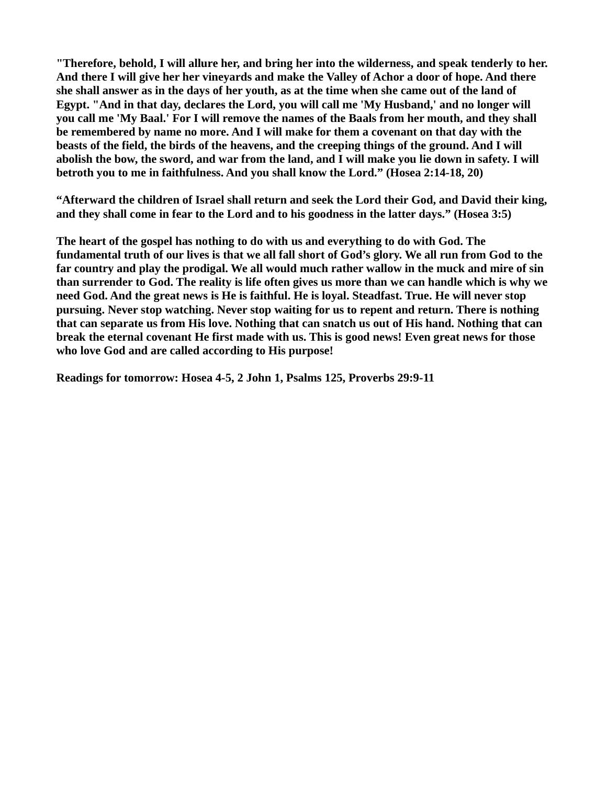"Therefore, behold, I will allure her, and bring her into the wilderness, and speak tenderly to her. And there I will give her her vineyards and make the Valley of Achor a door of hope. And there she shall answer as in the days of her youth, as at the time when she came out of the land of Egypt. "And in that day, declares the Lord, you will call me 'My Husband,' and no longer will you call me 'My Baal.' For I will remove the names of the Baals from her mouth, and they shall be remembered by name no more. And I will make for them a covenant on that day with the beasts of the field, the birds of the heavens, and the creeping things of the ground. And I will abolish the bow, the sword, and war from the land, and I will make you lie down in safety. I will betroth you to me in faithfulness. And you shall know the Lord." (Hosea 2:14-18, 20)

"Afterward the children of Israel shall return and seek the Lord their God, and David their king, and they shall come in fear to the Lord and to his goodness in the latter days." (Hosea 3:5)

The heart of the gospel has nothing to do with us and everything to do with God. The fundamental truth of our lives is that we all fall short of God's glory. We all run from God to the far country and play the prodigal. We all would much rather wallow in the muck and mire of sin than surrender to God. The reality is life often gives us more than we can handle which is why we need God. And the great news is He is faithful. He is loyal. Steadfast. True. He will never stop pursuing. Never stop watching. Never stop waiting for us to repent and return. There is nothing that can separate us from His love. Nothing that can snatch us out of His hand. Nothing that can break the eternal covenant He first made with us. This is good news! Even great news for those who love God and are called according to His purpose!

Readings for tomorrow: Hosea 4-5, 2 John 1, Psalms 125, Proverbs 29:9-11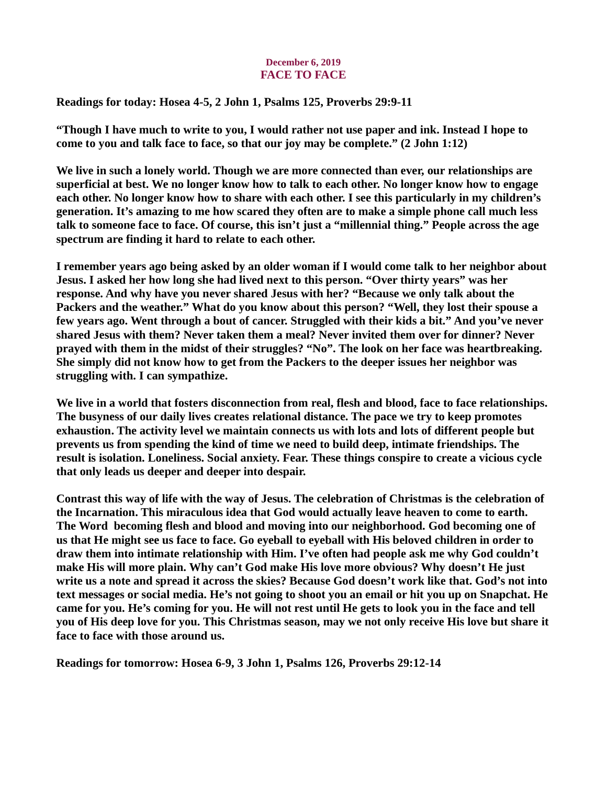#### December 6, 2019 FACE TO FACE

<span id="page-11-0"></span>[Readings for today: Hosea 4-5, 2 John 1, Psalms 125, Proverbs 29:9-11](https://www.biblegateway.com/passage/?search=Hosea+4-5%2C+2+John+1%2C+Psalms+125%2C+Proverbs+29%3A9-11&version=ESV)

"Though I have much to write to you, I would rather not use paper and ink. Instead I hope to come to you and talk face to face, so that our joy may be complete." (2 John 1:12)

We live in such a lonely world. Though we are more connected than ever, our relationships are superficial at best. We no longer know how to talk to each other. No longer know how to engage each other. No longer know how to share with each other. I see this particularly in my children's generation. It's amazing to me how scared they often are to make a simple phone call much less talk to someone face to face. Of course, this isn't just a "millennial thing." People across the age spectrum are finding it hard to relate to each other.

I remember years ago being asked by an older woman if I would come talk to her neighbor about Jesus. I asked her how long she had lived next to this person. "Over thirty years" was her response. And why have you never shared Jesus with her? "Because we only talk about the Packers and the weather." What do you know about this person? "Well, they lost their spouse a few years ago. Went through a bout of cancer. Struggled with their kids a bit." And you've never shared Jesus with them? Never taken them a meal? Never invited them over for dinner? Never prayed with them in the midst of their struggles? "No". The look on her face was heartbreaking. She simply did not know how to get from the Packers to the deeper issues her neighbor was struggling with. I can sympathize.

We live in a world that fosters disconnection from real, flesh and blood, face to face relationships. The busyness of our daily lives creates relational distance. The pace we try to keep promotes exhaustion. The activity level we maintain connects us with lots and lots of different people but prevents us from spending the kind of time we need to build deep, intimate friendships. The result is isolation. Loneliness. Social anxiety. Fear. These things conspire to create a vicious cycle that only leads us deeper and deeper into despair.

Contrast this way of life with the way of Jesus. The celebration of Christmas is the celebration of the Incarnation. This miraculous idea that God would actually leave heaven to come to earth. The Word becoming flesh and blood and moving into our neighborhood. God becoming one of us that He might see us face to face. Go eyeball to eyeball with His beloved children in order to draw them into intimate relationship with Him. I've often had people ask me why God couldn't make His will more plain. Why can't God make His love more obvious? Why doesn't He just write us a note and spread it across the skies? Because God doesn't work like that. God's not into text messages or social media. He's not going to shoot you an email or hit you up on Snapchat. He came for you. He's coming for you. He will not rest until He gets to look you in the face and tell you of His deep love for you. This Christmas season, may we not only receive His love but share it face to face with those around us.

Readings for tomorrow: Hosea 6-9, 3 John 1, Psalms 126, Proverbs 29:12-14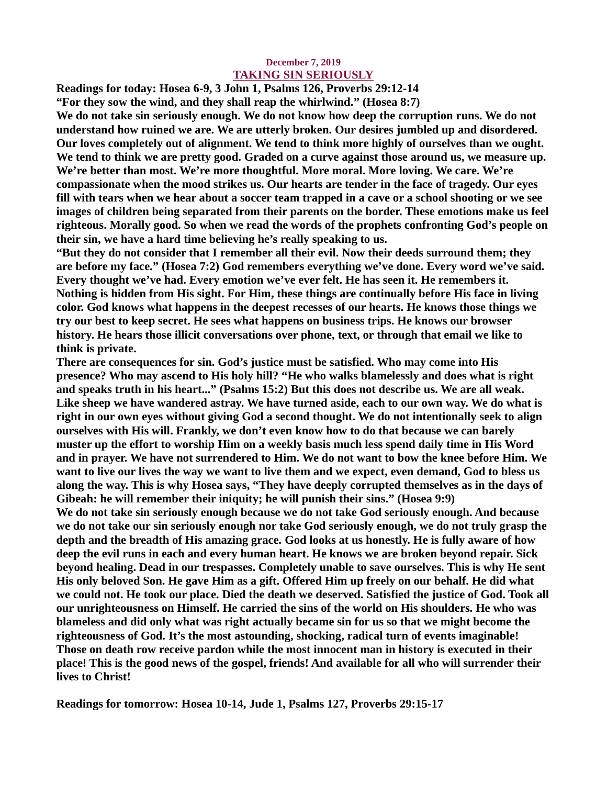#### December 7, 2019 TAKING SIN SERIOUSLY

<span id="page-12-0"></span>[Readings for today: Hosea 6-9, 3 John 1, Psalms 126, Proverbs 29:12-14](https://www.biblegateway.com/passage/?search=Hosea+6-9%2C+3+John+1%2C+Psalms+126%2C+Proverbs+29%3A12-14&version=ESV) "For they sow the wind, and they shall reap the whirlwind." (Hosea 8:7)

We do not take sin seriously enough. We do not know how deep the corruption runs. We do not understand how ruined we are. We are utterly broken. Our desires jumbled up and disordered. Our loves completely out of alignment. We tend to think more highly of ourselves than we ought. We tend to think we are pretty good. Graded on a curve against those around us, we measure up. We're better than most. We're more thoughtful. More moral. More loving. We care. We're compassionate when the mood strikes us. Our hearts are tender in the face of tragedy. Our eyes fill with tears when we hear about a soccer team trapped in a cave or a school shooting or we see images of children being separated from their parents on the border. These emotions make us feel righteous. Morally good. So when we read the words of the prophets confronting God's people on their sin, we have a hard time believing he's really speaking to us.

"But they do not consider that I remember all their evil. Now their deeds surround them; they are before my face." (Hosea 7:2) God remembers everything we've done. Every word we've said. Every thought we've had. Every emotion we've ever felt. He has seen it. He remembers it. Nothing is hidden from His sight. For Him, these things are continually before His face in living color. God knows what happens in the deepest recesses of our hearts. He knows those things we try our best to keep secret. He sees what happens on business trips. He knows our browser history. He hears those illicit conversations over phone, text, or through that email we like to think is private.

There are consequences for sin. God's justice must be satisfied. Who may come into His presence? Who may ascend to His holy hill? "He who walks blamelessly and does what is right and speaks truth in his heart..." (Psalms 15:2) But this does not describe us. We are all weak. Like sheep we have wandered astray. We have turned aside, each to our own way. We do what is right in our own eyes without giving God a second thought. We do not intentionally seek to align ourselves with His will. Frankly, we don't even know how to do that because we can barely muster up the effort to worship Him on a weekly basis much less spend daily time in His Word and in prayer. We have not surrendered to Him. We do not want to bow the knee before Him. We want to live our lives the way we want to live them and we expect, even demand, God to bless us along the way. This is why Hosea says, "They have deeply corrupted themselves as in the days of Gibeah: he will remember their iniquity; he will punish their sins." (Hosea 9:9) We do not take sin seriously enough because we do not take God seriously enough. And because we do not take our sin seriously enough nor take God seriously enough, we do not truly grasp the depth and the breadth of His amazing grace. God looks at us honestly. He is fully aware of how deep the evil runs in each and every human heart. He knows we are broken beyond repair. Sick beyond healing. Dead in our trespasses. Completely unable to save ourselves. This is why He sent

His only beloved Son. He gave Him as a gift. Offered Him up freely on our behalf. He did what we could not. He took our place. Died the death we deserved. Satisfied the justice of God. Took all our unrighteousness on Himself. He carried the sins of the world on His shoulders. He who was blameless and did only what was right actually became sin for us so that we might become the righteousness of God. It's the most astounding, shocking, radical turn of events imaginable! Those on death row receive pardon while the most innocent man in history is executed in their place! This is the good news of the gospel, friends! And available for all who will surrender their lives to Christ!

Readings for tomorrow: Hosea 10-14, Jude 1, Psalms 127, Proverbs 29:15-17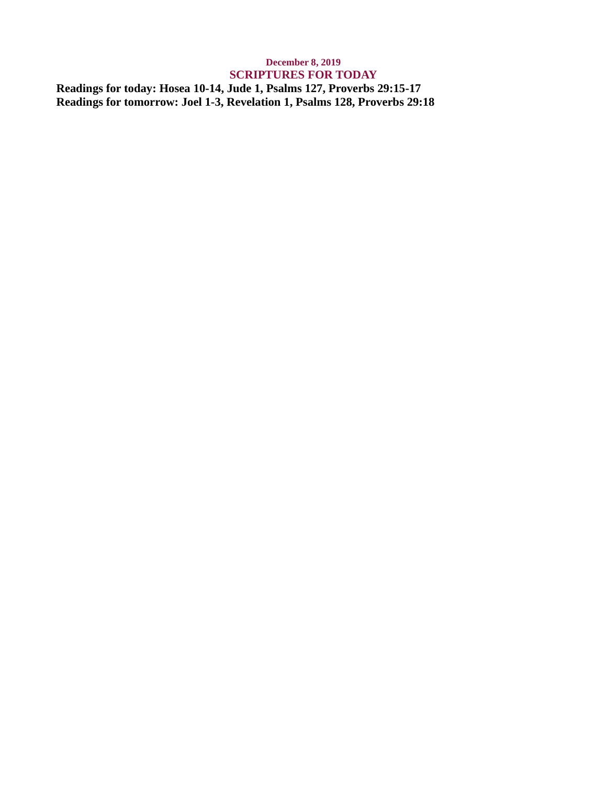### <span id="page-13-0"></span>December 8, 2019 SCRIPTURES FOR TODAY [Readings for today: Hosea 10-14, Jude 1, Psalms 127, Proverbs 29:15-17](https://www.biblegateway.com/passage/?search=Hosea+10-14%2C+Jude+1%2C+Psalms+127%2C+Proverbs+29%3A15-17&version=ESV) Readings for tomorrow: Joel 1-3, Revelation 1, Psalms 128, Proverbs 29:18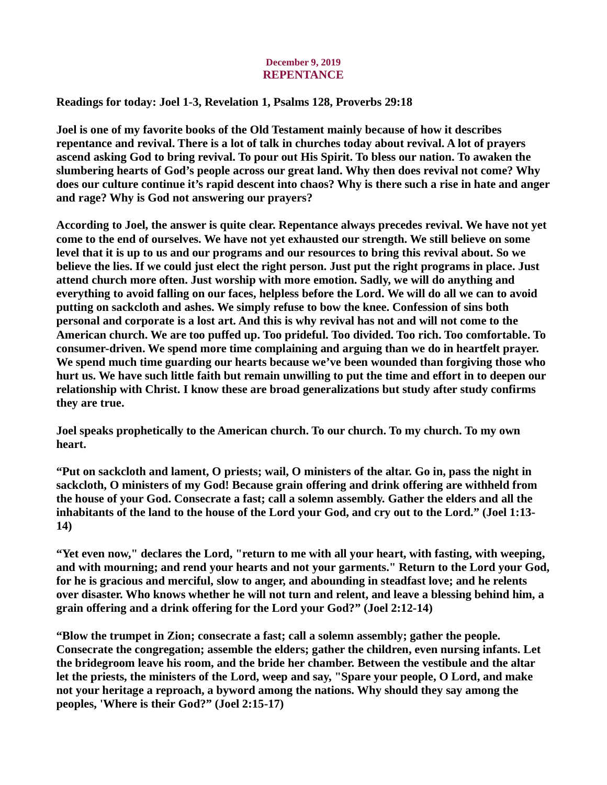#### December 9, 2019 REPENTANCE

#### <span id="page-14-0"></span>[Readings for today: Joel 1-3, Revelation 1, Psalms 128, Proverbs 29:18](https://www.biblegateway.com/passage/?search=Joel+1-3%2C+Revelation+1%2C+Psalms+128%2C+Proverbs+29%3A18&version=ESV)

Joel is one of my favorite books of the Old Testament mainly because of how it describes repentance and revival. There is a lot of talk in churches today about revival. A lot of prayers ascend asking God to bring revival. To pour out His Spirit. To bless our nation. To awaken the slumbering hearts of God's people across our great land. Why then does revival not come? Why does our culture continue it's rapid descent into chaos? Why is there such a rise in hate and anger and rage? Why is God not answering our prayers?

According to Joel, the answer is quite clear. Repentance always precedes revival. We have not yet come to the end of ourselves. We have not yet exhausted our strength. We still believe on some level that it is up to us and our programs and our resources to bring this revival about. So we believe the lies. If we could just elect the right person. Just put the right programs in place. Just attend church more often. Just worship with more emotion. Sadly, we will do anything and everything to avoid falling on our faces, helpless before the Lord. We will do all we can to avoid putting on sackcloth and ashes. We simply refuse to bow the knee. Confession of sins both personal and corporate is a lost art. And this is why revival has not and will not come to the American church. We are too puffed up. Too prideful. Too divided. Too rich. Too comfortable. To consumer-driven. We spend more time complaining and arguing than we do in heartfelt prayer. We spend much time guarding our hearts because we've been wounded than forgiving those who hurt us. We have such little faith but remain unwilling to put the time and effort in to deepen our relationship with Christ. I know these are broad generalizations but study after study confirms they are true.

Joel speaks prophetically to the American church. To our church. To my church. To my own heart.

"Put on sackcloth and lament, O priests; wail, O ministers of the altar. Go in, pass the night in sackcloth, O ministers of my God! Because grain offering and drink offering are withheld from the house of your God. Consecrate a fast; call a solemn assembly. Gather the elders and all the inhabitants of the land to the house of the Lord your God, and cry out to the Lord." (Joel 1:13- 14)

"Yet even now," declares the Lord, "return to me with all your heart, with fasting, with weeping, and with mourning; and rend your hearts and not your garments." Return to the Lord your God, for he is gracious and merciful, slow to anger, and abounding in steadfast love; and he relents over disaster. Who knows whether he will not turn and relent, and leave a blessing behind him, a grain offering and a drink offering for the Lord your God?" (Joel 2:12-14)

"Blow the trumpet in Zion; consecrate a fast; call a solemn assembly; gather the people. Consecrate the congregation; assemble the elders; gather the children, even nursing infants. Let the bridegroom leave his room, and the bride her chamber. Between the vestibule and the altar let the priests, the ministers of the Lord, weep and say, "Spare your people, O Lord, and make not your heritage a reproach, a byword among the nations. Why should they say among the peoples, 'Where is their God?" (Joel 2:15-17)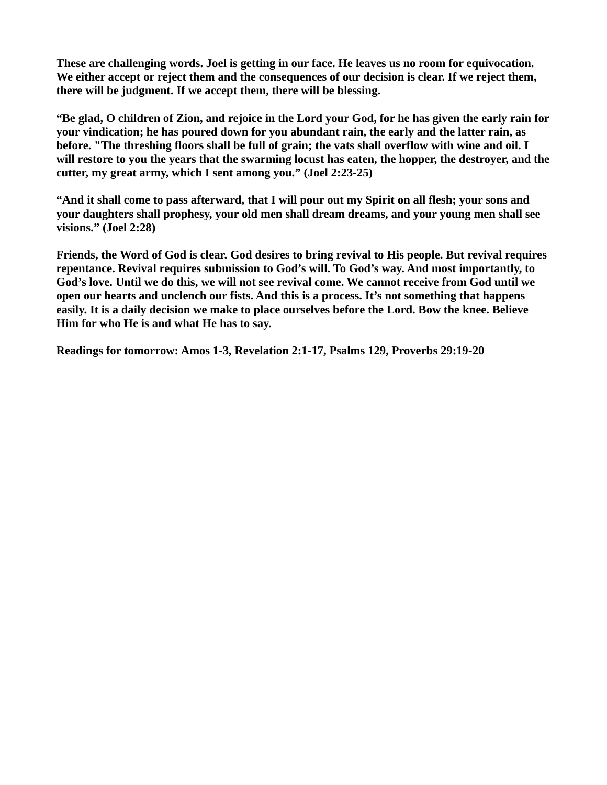These are challenging words. Joel is getting in our face. He leaves us no room for equivocation. We either accept or reject them and the consequences of our decision is clear. If we reject them, there will be judgment. If we accept them, there will be blessing.

"Be glad, O children of Zion, and rejoice in the Lord your God, for he has given the early rain for your vindication; he has poured down for you abundant rain, the early and the latter rain, as before. "The threshing floors shall be full of grain; the vats shall overflow with wine and oil. I will restore to you the years that the swarming locust has eaten, the hopper, the destroyer, and the cutter, my great army, which I sent among you." (Joel 2:23-25)

"And it shall come to pass afterward, that I will pour out my Spirit on all flesh; your sons and your daughters shall prophesy, your old men shall dream dreams, and your young men shall see visions." (Joel 2:28)

Friends, the Word of God is clear. God desires to bring revival to His people. But revival requires repentance. Revival requires submission to God's will. To God's way. And most importantly, to God's love. Until we do this, we will not see revival come. We cannot receive from God until we open our hearts and unclench our fists. And this is a process. It's not something that happens easily. It is a daily decision we make to place ourselves before the Lord. Bow the knee. Believe Him for who He is and what He has to say.

Readings for tomorrow: Amos 1-3, Revelation 2:1-17, Psalms 129, Proverbs 29:19-20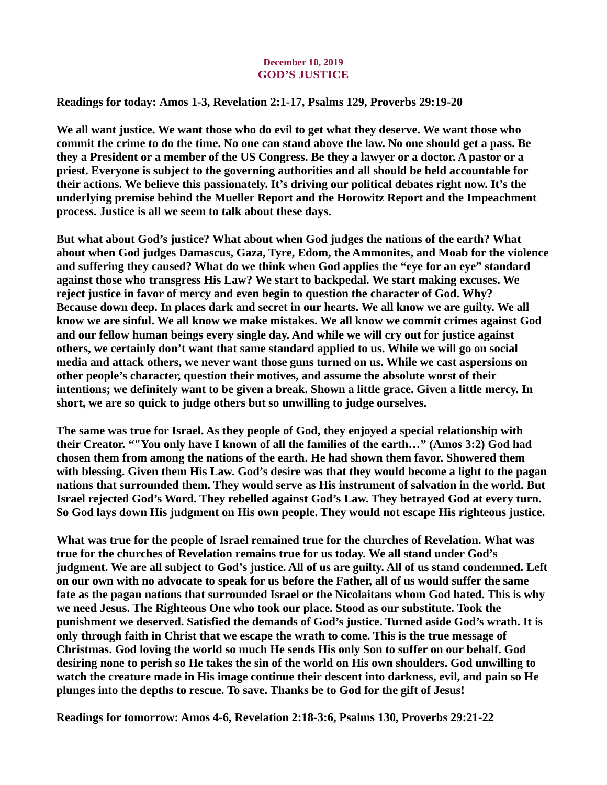#### December 10, 2019 GOD'S JUSTICE

#### <span id="page-16-0"></span>[Readings for today: Amos 1-3, Revelation 2:1-17, Psalms 129, Proverbs 29:19-20](https://www.biblegateway.com/passage/?search=Amos+1-3%2C+Revelation+2%3A1-17%2C+Psalms+129%2C+Proverbs+29%3A19-20&version=ESV)

We all want justice. We want those who do evil to get what they deserve. We want those who commit the crime to do the time. No one can stand above the law. No one should get a pass. Be they a President or a member of the US Congress. Be they a lawyer or a doctor. A pastor or a priest. Everyone is subject to the governing authorities and all should be held accountable for their actions. We believe this passionately. It's driving our political debates right now. It's the underlying premise behind the Mueller Report and the Horowitz Report and the Impeachment process. Justice is all we seem to talk about these days.

But what about God's justice? What about when God judges the nations of the earth? What about when God judges Damascus, Gaza, Tyre, Edom, the Ammonites, and Moab for the violence and suffering they caused? What do we think when God applies the "eye for an eye" standard against those who transgress His Law? We start to backpedal. We start making excuses. We reject justice in favor of mercy and even begin to question the character of God. Why? Because down deep. In places dark and secret in our hearts. We all know we are guilty. We all know we are sinful. We all know we make mistakes. We all know we commit crimes against God and our fellow human beings every single day. And while we will cry out for justice against others, we certainly don't want that same standard applied to us. While we will go on social media and attack others, we never want those guns turned on us. While we cast aspersions on other people's character, question their motives, and assume the absolute worst of their intentions; we definitely want to be given a break. Shown a little grace. Given a little mercy. In short, we are so quick to judge others but so unwilling to judge ourselves.

The same was true for Israel. As they people of God, they enjoyed a special relationship with their Creator. ""You only have I known of all the families of the earth…" (Amos 3:2) God had chosen them from among the nations of the earth. He had shown them favor. Showered them with blessing. Given them His Law. God's desire was that they would become a light to the pagan nations that surrounded them. They would serve as His instrument of salvation in the world. But Israel rejected God's Word. They rebelled against God's Law. They betrayed God at every turn. So God lays down His judgment on His own people. They would not escape His righteous justice.

What was true for the people of Israel remained true for the churches of Revelation. What was true for the churches of Revelation remains true for us today. We all stand under God's judgment. We are all subject to God's justice. All of us are guilty. All of us stand condemned. Left on our own with no advocate to speak for us before the Father, all of us would suffer the same fate as the pagan nations that surrounded Israel or the Nicolaitans whom God hated. This is why we need Jesus. The Righteous One who took our place. Stood as our substitute. Took the punishment we deserved. Satisfied the demands of God's justice. Turned aside God's wrath. It is only through faith in Christ that we escape the wrath to come. This is the true message of Christmas. God loving the world so much He sends His only Son to suffer on our behalf. God desiring none to perish so He takes the sin of the world on His own shoulders. God unwilling to watch the creature made in His image continue their descent into darkness, evil, and pain so He plunges into the depths to rescue. To save. Thanks be to God for the gift of Jesus!

Readings for tomorrow: Amos 4-6, Revelation 2:18-3:6, Psalms 130, Proverbs 29:21-22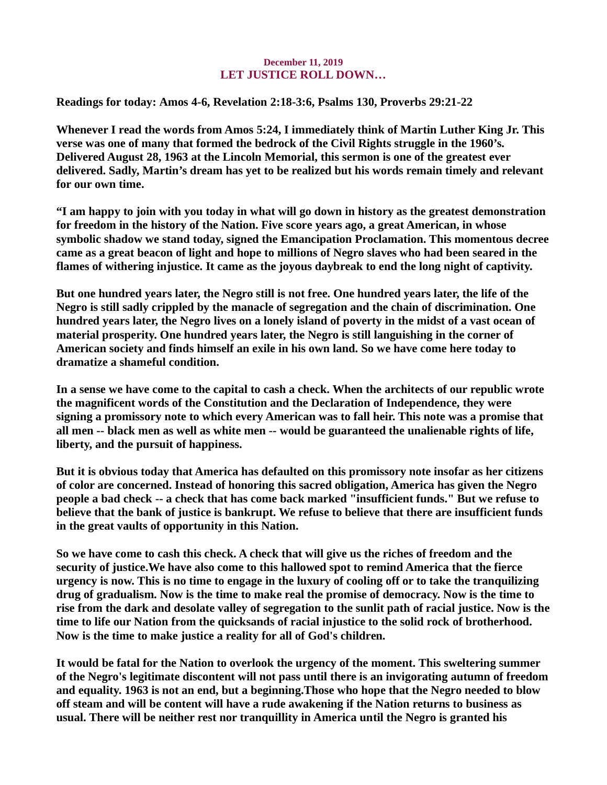#### December 11, 2019 LET JUSTICE ROLL DOWN…

<span id="page-17-0"></span>[Readings for today: Amos 4-6, Revelation 2:18-3:6, Psalms 130, Proverbs 29:21-22](https://www.biblegateway.com/passage/?search=Amos+4-6%2C+Revelation+2%3A18-3%3A6%2C+Psalms+130%2C+Proverbs+29%3A21-22&version=ESV)

Whenever I read the words from Amos 5:24, I immediately think of Martin Luther King Jr. This verse was one of many that formed the bedrock of the Civil Rights struggle in the 1960's. Delivered August 28, 1963 at the Lincoln Memorial, this sermon is one of the greatest ever delivered. Sadly, Martin's dream has yet to be realized but his words remain timely and relevant for our own time.

"I am happy to join with you today in what will go down in history as the greatest demonstration for freedom in the history of the Nation. Five score years ago, a great American, in whose symbolic shadow we stand today, signed the Emancipation Proclamation. This momentous decree came as a great beacon of light and hope to millions of Negro slaves who had been seared in the flames of withering injustice. It came as the joyous daybreak to end the long night of captivity.

But one hundred years later, the Negro still is not free. One hundred years later, the life of the Negro is still sadly crippled by the manacle of segregation and the chain of discrimination. One hundred years later, the Negro lives on a lonely island of poverty in the midst of a vast ocean of material prosperity. One hundred years later, the Negro is still languishing in the corner of American society and finds himself an exile in his own land. So we have come here today to dramatize a shameful condition.

In a sense we have come to the capital to cash a check. When the architects of our republic wrote the magnificent words of the Constitution and the Declaration of Independence, they were signing a promissory note to which every American was to fall heir. This note was a promise that all men -- black men as well as white men -- would be guaranteed the unalienable rights of life, liberty, and the pursuit of happiness.

But it is obvious today that America has defaulted on this promissory note insofar as her citizens of color are concerned. Instead of honoring this sacred obligation, America has given the Negro people a bad check -- a check that has come back marked "insufficient funds." But we refuse to believe that the bank of justice is bankrupt. We refuse to believe that there are insufficient funds in the great vaults of opportunity in this Nation.

So we have come to cash this check. A check that will give us the riches of freedom and the security of justice.We have also come to this hallowed spot to remind America that the fierce urgency is now. This is no time to engage in the luxury of cooling off or to take the tranquilizing drug of gradualism. Now is the time to make real the promise of democracy. Now is the time to rise from the dark and desolate valley of segregation to the sunlit path of racial justice. Now is the time to life our Nation from the quicksands of racial injustice to the solid rock of brotherhood. Now is the time to make justice a reality for all of God's children.

It would be fatal for the Nation to overlook the urgency of the moment. This sweltering summer of the Negro's legitimate discontent will not pass until there is an invigorating autumn of freedom and equality. 1963 is not an end, but a beginning.Those who hope that the Negro needed to blow off steam and will be content will have a rude awakening if the Nation returns to business as usual. There will be neither rest nor tranquillity in America until the Negro is granted his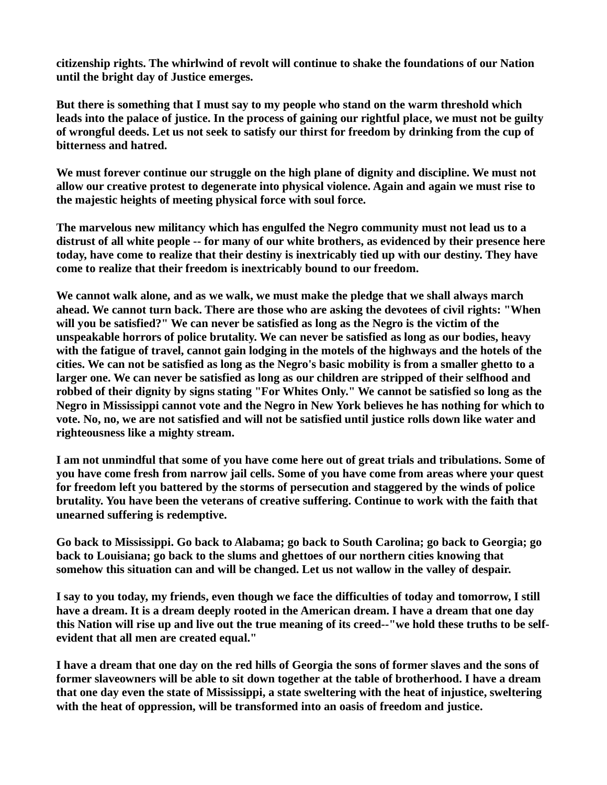citizenship rights. The whirlwind of revolt will continue to shake the foundations of our Nation until the bright day of Justice emerges.

But there is something that I must say to my people who stand on the warm threshold which leads into the palace of justice. In the process of gaining our rightful place, we must not be guilty of wrongful deeds. Let us not seek to satisfy our thirst for freedom by drinking from the cup of bitterness and hatred.

We must forever continue our struggle on the high plane of dignity and discipline. We must not allow our creative protest to degenerate into physical violence. Again and again we must rise to the majestic heights of meeting physical force with soul force.

The marvelous new militancy which has engulfed the Negro community must not lead us to a distrust of all white people -- for many of our white brothers, as evidenced by their presence here today, have come to realize that their destiny is inextricably tied up with our destiny. They have come to realize that their freedom is inextricably bound to our freedom.

We cannot walk alone, and as we walk, we must make the pledge that we shall always march ahead. We cannot turn back. There are those who are asking the devotees of civil rights: "When will you be satisfied?" We can never be satisfied as long as the Negro is the victim of the unspeakable horrors of police brutality. We can never be satisfied as long as our bodies, heavy with the fatigue of travel, cannot gain lodging in the motels of the highways and the hotels of the cities. We can not be satisfied as long as the Negro's basic mobility is from a smaller ghetto to a larger one. We can never be satisfied as long as our children are stripped of their selfhood and robbed of their dignity by signs stating "For Whites Only." We cannot be satisfied so long as the Negro in Mississippi cannot vote and the Negro in New York believes he has nothing for which to vote. No, no, we are not satisfied and will not be satisfied until justice rolls down like water and righteousness like a mighty stream.

I am not unmindful that some of you have come here out of great trials and tribulations. Some of you have come fresh from narrow jail cells. Some of you have come from areas where your quest for freedom left you battered by the storms of persecution and staggered by the winds of police brutality. You have been the veterans of creative suffering. Continue to work with the faith that unearned suffering is redemptive.

Go back to Mississippi. Go back to Alabama; go back to South Carolina; go back to Georgia; go back to Louisiana; go back to the slums and ghettoes of our northern cities knowing that somehow this situation can and will be changed. Let us not wallow in the valley of despair.

I say to you today, my friends, even though we face the difficulties of today and tomorrow, I still have a dream. It is a dream deeply rooted in the American dream. I have a dream that one day this Nation will rise up and live out the true meaning of its creed--"we hold these truths to be selfevident that all men are created equal."

I have a dream that one day on the red hills of Georgia the sons of former slaves and the sons of former slaveowners will be able to sit down together at the table of brotherhood. I have a dream that one day even the state of Mississippi, a state sweltering with the heat of injustice, sweltering with the heat of oppression, will be transformed into an oasis of freedom and justice.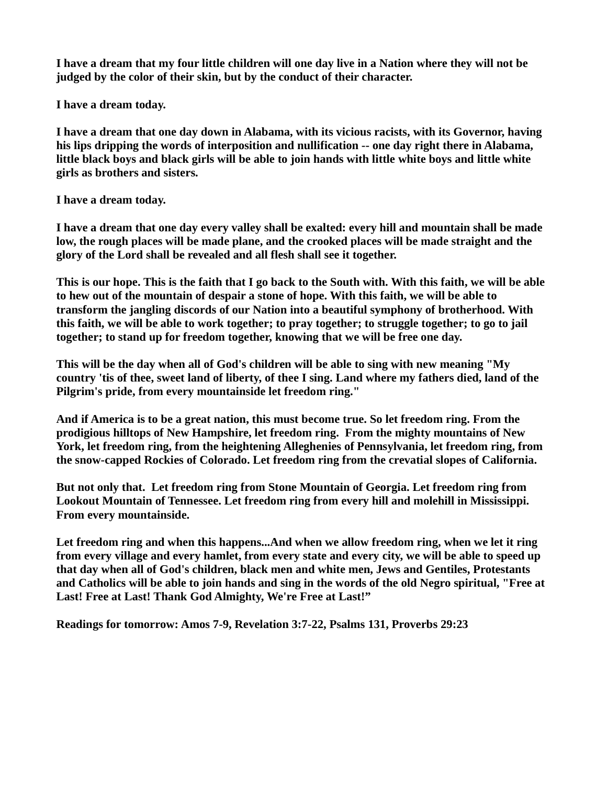I have a dream that my four little children will one day live in a Nation where they will not be judged by the color of their skin, but by the conduct of their character.

I have a dream today.

I have a dream that one day down in Alabama, with its vicious racists, with its Governor, having his lips dripping the words of interposition and nullification -- one day right there in Alabama, little black boys and black girls will be able to join hands with little white boys and little white girls as brothers and sisters.

I have a dream today.

I have a dream that one day every valley shall be exalted: every hill and mountain shall be made low, the rough places will be made plane, and the crooked places will be made straight and the glory of the Lord shall be revealed and all flesh shall see it together.

This is our hope. This is the faith that I go back to the South with. With this faith, we will be able to hew out of the mountain of despair a stone of hope. With this faith, we will be able to transform the jangling discords of our Nation into a beautiful symphony of brotherhood. With this faith, we will be able to work together; to pray together; to struggle together; to go to jail together; to stand up for freedom together, knowing that we will be free one day.

This will be the day when all of God's children will be able to sing with new meaning "My country 'tis of thee, sweet land of liberty, of thee I sing. Land where my fathers died, land of the Pilgrim's pride, from every mountainside let freedom ring."

And if America is to be a great nation, this must become true. So let freedom ring. From the prodigious hilltops of New Hampshire, let freedom ring. From the mighty mountains of New York, let freedom ring, from the heightening Alleghenies of Pennsylvania, let freedom ring, from the snow-capped Rockies of Colorado. Let freedom ring from the crevatial slopes of California.

But not only that. Let freedom ring from Stone Mountain of Georgia. Let freedom ring from Lookout Mountain of Tennessee. Let freedom ring from every hill and molehill in Mississippi. From every mountainside.

Let freedom ring and when this happens...And when we allow freedom ring, when we let it ring from every village and every hamlet, from every state and every city, we will be able to speed up that day when all of God's children, black men and white men, Jews and Gentiles, Protestants and Catholics will be able to join hands and sing in the words of the old Negro spiritual, "Free at Last! Free at Last! Thank God Almighty, We're Free at Last!"

Readings for tomorrow: Amos 7-9, Revelation 3:7-22, Psalms 131, Proverbs 29:23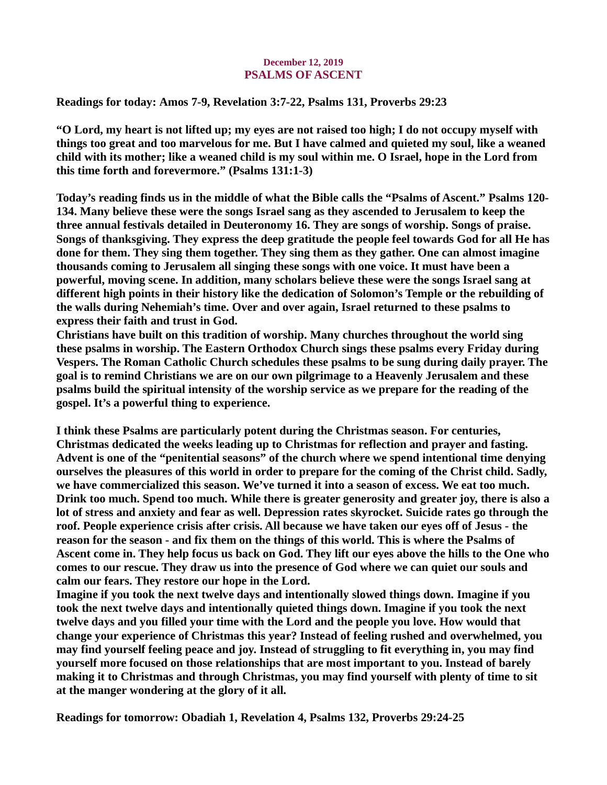#### December 12, 2019 PSALMS OF ASCENT

<span id="page-20-0"></span>[Readings for today: Amos 7-9, Revelation 3:7-22, Psalms 131, Proverbs 29:23](https://www.biblegateway.com/passage/?search=Amos+7-9%2C+Revelation+3%3A7-22%2C+Psalms+131%2C+Proverbs+29%3A23&version=ESV)

"O Lord, my heart is not lifted up; my eyes are not raised too high; I do not occupy myself with things too great and too marvelous for me. But I have calmed and quieted my soul, like a weaned child with its mother; like a weaned child is my soul within me. O Israel, hope in the Lord from this time forth and forevermore." (Psalms 131:1-3)

Today's reading finds us in the middle of what the Bible calls the "Psalms of Ascent." Psalms 120- 134. Many believe these were the songs Israel sang as they ascended to Jerusalem to keep the three annual festivals detailed in Deuteronomy 16. They are songs of worship. Songs of praise. Songs of thanksgiving. They express the deep gratitude the people feel towards God for all He has done for them. They sing them together. They sing them as they gather. One can almost imagine thousands coming to Jerusalem all singing these songs with one voice. It must have been a powerful, moving scene. In addition, many scholars believe these were the songs Israel sang at different high points in their history like the dedication of Solomon's Temple or the rebuilding of the walls during Nehemiah's time. Over and over again, Israel returned to these psalms to express their faith and trust in God.

Christians have built on this tradition of worship. Many churches throughout the world sing these psalms in worship. The Eastern Orthodox Church sings these psalms every Friday during Vespers. The Roman Catholic Church schedules these psalms to be sung during daily prayer. The goal is to remind Christians we are on our own pilgrimage to a Heavenly Jerusalem and these psalms build the spiritual intensity of the worship service as we prepare for the reading of the gospel. It's a powerful thing to experience.

I think these Psalms are particularly potent during the Christmas season. For centuries, Christmas dedicated the weeks leading up to Christmas for reflection and prayer and fasting. Advent is one of the "penitential seasons" of the church where we spend intentional time denying ourselves the pleasures of this world in order to prepare for the coming of the Christ child. Sadly, we have commercialized this season. We've turned it into a season of excess. We eat too much. Drink too much. Spend too much. While there is greater generosity and greater joy, there is also a lot of stress and anxiety and fear as well. Depression rates skyrocket. Suicide rates go through the roof. People experience crisis after crisis. All because we have taken our eyes off of Jesus - the reason for the season - and fix them on the things of this world. This is where the Psalms of Ascent come in. They help focus us back on God. They lift our eyes above the hills to the One who comes to our rescue. They draw us into the presence of God where we can quiet our souls and calm our fears. They restore our hope in the Lord.

Imagine if you took the next twelve days and intentionally slowed things down. Imagine if you took the next twelve days and intentionally quieted things down. Imagine if you took the next twelve days and you filled your time with the Lord and the people you love. How would that change your experience of Christmas this year? Instead of feeling rushed and overwhelmed, you may find yourself feeling peace and joy. Instead of struggling to fit everything in, you may find yourself more focused on those relationships that are most important to you. Instead of barely making it to Christmas and through Christmas, you may find yourself with plenty of time to sit at the manger wondering at the glory of it all.

Readings for tomorrow: Obadiah 1, Revelation 4, Psalms 132, Proverbs 29:24-25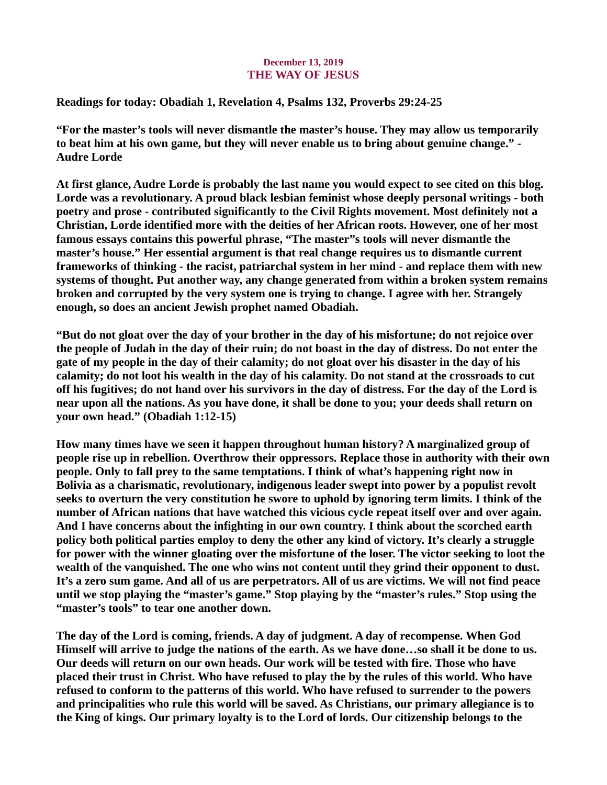#### December 13, 2019 THE WAY OF JESUS

<span id="page-21-0"></span>[Readings for today: Obadiah 1, Revelation 4, Psalms 132, Proverbs 29:24-25](https://www.biblegateway.com/passage/?search=Obadiah+1%2C+Revelation+4%2C+Psalms+132%2C+Proverbs+29%3A24-25&version=ESV)

"For the master's tools will never dismantle the master's house. They may allow us temporarily to beat him at his own game, but they will never enable us to bring about genuine change." - Audre Lorde

At first glance, Audre Lorde is probably the last name you would expect to see cited on this blog. Lorde was a revolutionary. A proud black lesbian feminist whose deeply personal writings - both poetry and prose - contributed significantly to the Civil Rights movement. Most definitely not a Christian, Lorde identified more with the deities of her African roots. However, one of her most famous essays contains this powerful phrase, "The master"s tools will never dismantle the master's house." Her essential argument is that real change requires us to dismantle current frameworks of thinking - the racist, patriarchal system in her mind - and replace them with new systems of thought. Put another way, any change generated from within a broken system remains broken and corrupted by the very system one is trying to change. I agree with her. Strangely enough, so does an ancient Jewish prophet named Obadiah.

"But do not gloat over the day of your brother in the day of his misfortune; do not rejoice over the people of Judah in the day of their ruin; do not boast in the day of distress. Do not enter the gate of my people in the day of their calamity; do not gloat over his disaster in the day of his calamity; do not loot his wealth in the day of his calamity. Do not stand at the crossroads to cut off his fugitives; do not hand over his survivors in the day of distress. For the day of the Lord is near upon all the nations. As you have done, it shall be done to you; your deeds shall return on your own head." (Obadiah 1:12-15)

How many times have we seen it happen throughout human history? A marginalized group of people rise up in rebellion. Overthrow their oppressors. Replace those in authority with their own people. Only to fall prey to the same temptations. I think of what's happening right now in Bolivia as a charismatic, revolutionary, indigenous leader swept into power by a populist revolt seeks to overturn the very constitution he swore to uphold by ignoring term limits. I think of the number of African nations that have watched this vicious cycle repeat itself over and over again. And I have concerns about the infighting in our own country. I think about the scorched earth policy both political parties employ to deny the other any kind of victory. It's clearly a struggle for power with the winner gloating over the misfortune of the loser. The victor seeking to loot the wealth of the vanquished. The one who wins not content until they grind their opponent to dust. It's a zero sum game. And all of us are perpetrators. All of us are victims. We will not find peace until we stop playing the "master's game." Stop playing by the "master's rules." Stop using the "master's tools" to tear one another down.

The day of the Lord is coming, friends. A day of judgment. A day of recompense. When God Himself will arrive to judge the nations of the earth. As we have done…so shall it be done to us. Our deeds will return on our own heads. Our work will be tested with fire. Those who have placed their trust in Christ. Who have refused to play the by the rules of this world. Who have refused to conform to the patterns of this world. Who have refused to surrender to the powers and principalities who rule this world will be saved. As Christians, our primary allegiance is to the King of kings. Our primary loyalty is to the Lord of lords. Our citizenship belongs to the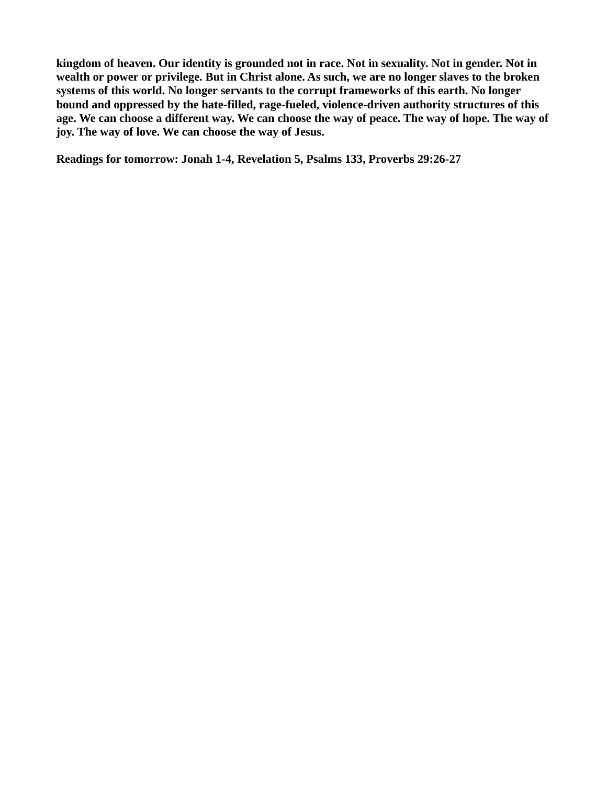kingdom of heaven. Our identity is grounded not in race. Not in sexuality. Not in gender. Not in wealth or power or privilege. But in Christ alone. As such, we are no longer slaves to the broken systems of this world. No longer servants to the corrupt frameworks of this earth. No longer bound and oppressed by the hate-filled, rage-fueled, violence-driven authority structures of this age. We can choose a different way. We can choose the way of peace. The way of hope. The way of joy. The way of love. We can choose the way of Jesus.

Readings for tomorrow: Jonah 1-4, Revelation 5, Psalms 133, Proverbs 29:26-27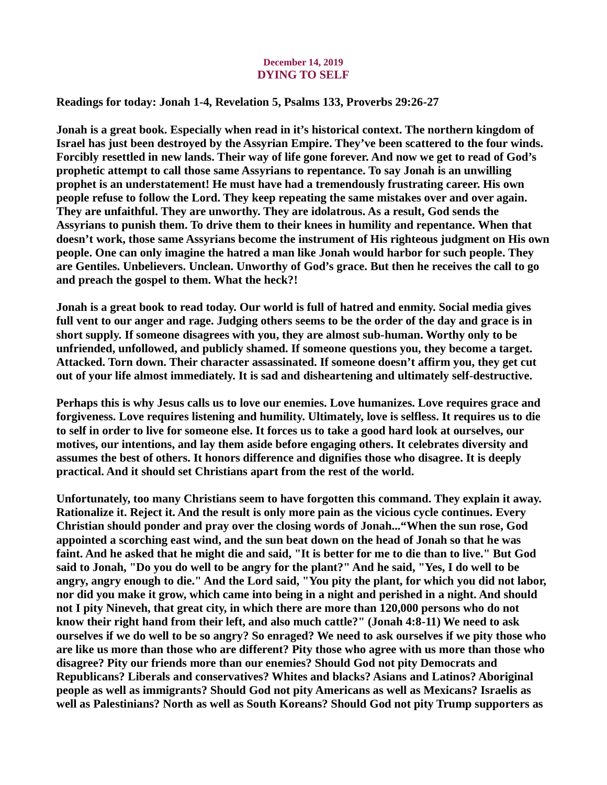#### December 14, 2019 DYING TO SELF

#### <span id="page-23-0"></span>[Readings for today: Jonah 1-4, Revelation 5, Psalms 133, Proverbs 29:26-27](https://www.biblegateway.com/passage/?search=Jonah+1-4%2C+Revelation+5%2C+Psalms+133%2C+Proverbs+29%3A26-27&version=ESV)

Jonah is a great book. Especially when read in it's historical context. The northern kingdom of Israel has just been destroyed by the Assyrian Empire. They've been scattered to the four winds. Forcibly resettled in new lands. Their way of life gone forever. And now we get to read of God's prophetic attempt to call those same Assyrians to repentance. To say Jonah is an unwilling prophet is an understatement! He must have had a tremendously frustrating career. His own people refuse to follow the Lord. They keep repeating the same mistakes over and over again. They are unfaithful. They are unworthy. They are idolatrous. As a result, God sends the Assyrians to punish them. To drive them to their knees in humility and repentance. When that doesn't work, those same Assyrians become the instrument of His righteous judgment on His own people. One can only imagine the hatred a man like Jonah would harbor for such people. They are Gentiles. Unbelievers. Unclean. Unworthy of God's grace. But then he receives the call to go and preach the gospel to them. What the heck?!

Jonah is a great book to read today. Our world is full of hatred and enmity. Social media gives full vent to our anger and rage. Judging others seems to be the order of the day and grace is in short supply. If someone disagrees with you, they are almost sub-human. Worthy only to be unfriended, unfollowed, and publicly shamed. If someone questions you, they become a target. Attacked. Torn down. Their character assassinated. If someone doesn't affirm you, they get cut out of your life almost immediately. It is sad and disheartening and ultimately self-destructive.

Perhaps this is why Jesus calls us to love our enemies. Love humanizes. Love requires grace and forgiveness. Love requires listening and humility. Ultimately, love is selfless. It requires us to die to self in order to live for someone else. It forces us to take a good hard look at ourselves, our motives, our intentions, and lay them aside before engaging others. It celebrates diversity and assumes the best of others. It honors difference and dignifies those who disagree. It is deeply practical. And it should set Christians apart from the rest of the world.

Unfortunately, too many Christians seem to have forgotten this command. They explain it away. Rationalize it. Reject it. And the result is only more pain as the vicious cycle continues. Every Christian should ponder and pray over the closing words of Jonah..."When the sun rose, God appointed a scorching east wind, and the sun beat down on the head of Jonah so that he was faint. And he asked that he might die and said, "It is better for me to die than to live." But God said to Jonah, "Do you do well to be angry for the plant?" And he said, "Yes, I do well to be angry, angry enough to die." And the Lord said, "You pity the plant, for which you did not labor, nor did you make it grow, which came into being in a night and perished in a night. And should not I pity Nineveh, that great city, in which there are more than 120,000 persons who do not know their right hand from their left, and also much cattle?" (Jonah 4:8-11) We need to ask ourselves if we do well to be so angry? So enraged? We need to ask ourselves if we pity those who are like us more than those who are different? Pity those who agree with us more than those who disagree? Pity our friends more than our enemies? Should God not pity Democrats and Republicans? Liberals and conservatives? Whites and blacks? Asians and Latinos? Aboriginal people as well as immigrants? Should God not pity Americans as well as Mexicans? Israelis as well as Palestinians? North as well as South Koreans? Should God not pity Trump supporters as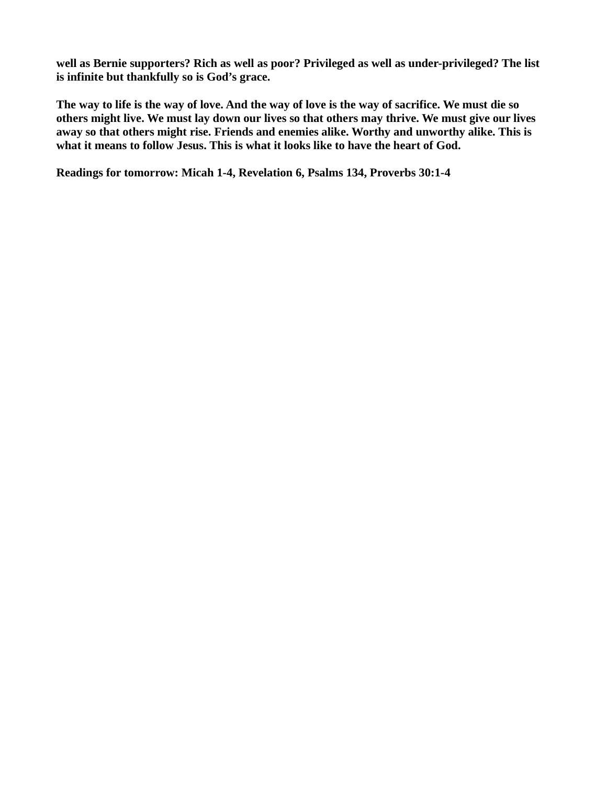well as Bernie supporters? Rich as well as poor? Privileged as well as under-privileged? The list is infinite but thankfully so is God's grace.

The way to life is the way of love. And the way of love is the way of sacrifice. We must die so others might live. We must lay down our lives so that others may thrive. We must give our lives away so that others might rise. Friends and enemies alike. Worthy and unworthy alike. This is what it means to follow Jesus. This is what it looks like to have the heart of God.

Readings for tomorrow: Micah 1-4, Revelation 6, Psalms 134, Proverbs 30:1-4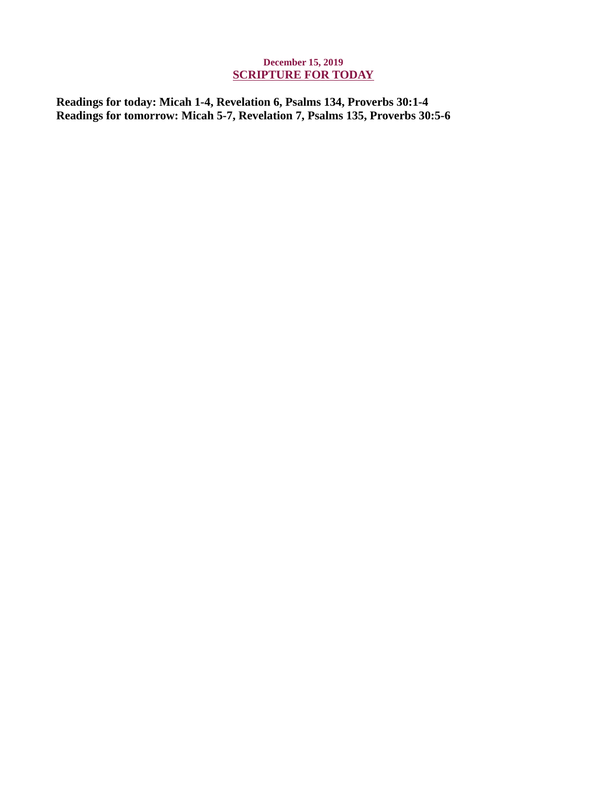#### December 15, 2019 **SCRIPTURE FOR TODAY**

<span id="page-25-0"></span>[Readings for today: Micah 1-4, Revelation 6, Psalms 134, Proverbs 30:1-4](https://www.biblegateway.com/passage/?search=Micah+1-4%2C+Revelation+6%2C+Psalms+134%2C+Proverbs+30%3A1-4&version=ESV) Readings for tomorrow: Micah 5-7, Revelation 7, Psalms 135, Proverbs 30:5-6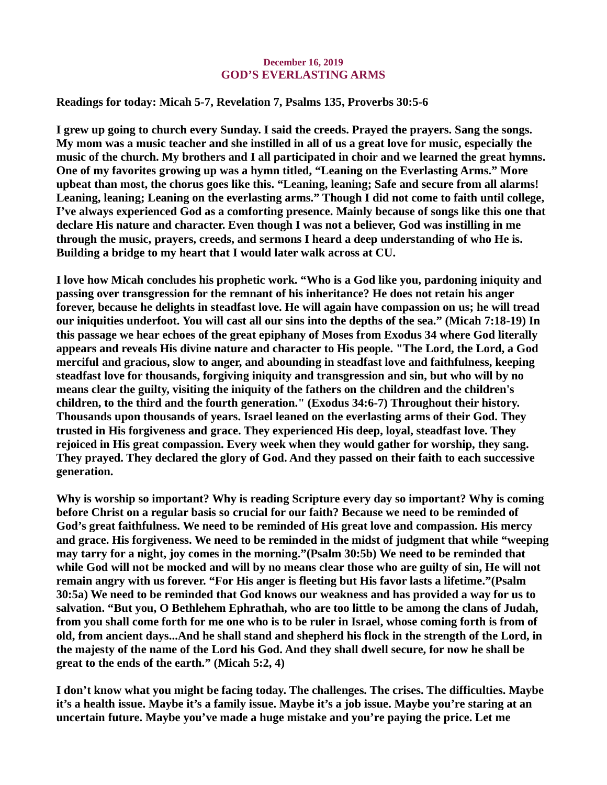#### December 16, 2019 GOD'S EVERLASTING ARMS

#### <span id="page-26-0"></span>[Readings for today: Micah 5-7, Revelation 7, Psalms 135, Proverbs 30:5-6](https://www.biblegateway.com/passage/?search=Micah+5-7%2C+Revelation+7%2C+Psalms+135%2C+Proverbs+30%3A5-6&version=ESV)

I grew up going to church every Sunday. I said the creeds. Prayed the prayers. Sang the songs. My mom was a music teacher and she instilled in all of us a great love for music, especially the music of the church. My brothers and I all participated in choir and we learned the great hymns. One of my favorites growing up was a hymn titled, "Leaning on the Everlasting Arms." More upbeat than most, the chorus goes like this. "Leaning, leaning; Safe and secure from all alarms! Leaning, leaning; Leaning on the everlasting arms." Though I did not come to faith until college, I've always experienced God as a comforting presence. Mainly because of songs like this one that declare His nature and character. Even though I was not a believer, God was instilling in me through the music, prayers, creeds, and sermons I heard a deep understanding of who He is. Building a bridge to my heart that I would later walk across at CU.

I love how Micah concludes his prophetic work. "Who is a God like you, pardoning iniquity and passing over transgression for the remnant of his inheritance? He does not retain his anger forever, because he delights in steadfast love. He will again have compassion on us; he will tread our iniquities underfoot. You will cast all our sins into the depths of the sea." (Micah 7:18-19) In this passage we hear echoes of the great epiphany of Moses from Exodus 34 where God literally appears and reveals His divine nature and character to His people. "The Lord, the Lord, a God merciful and gracious, slow to anger, and abounding in steadfast love and faithfulness, keeping steadfast love for thousands, forgiving iniquity and transgression and sin, but who will by no means clear the guilty, visiting the iniquity of the fathers on the children and the children's children, to the third and the fourth generation." (Exodus 34:6-7) Throughout their history. Thousands upon thousands of years. Israel leaned on the everlasting arms of their God. They trusted in His forgiveness and grace. They experienced His deep, loyal, steadfast love. They rejoiced in His great compassion. Every week when they would gather for worship, they sang. They prayed. They declared the glory of God. And they passed on their faith to each successive generation.

Why is worship so important? Why is reading Scripture every day so important? Why is coming before Christ on a regular basis so crucial for our faith? Because we need to be reminded of God's great faithfulness. We need to be reminded of His great love and compassion. His mercy and grace. His forgiveness. We need to be reminded in the midst of judgment that while "weeping may tarry for a night, joy comes in the morning."(Psalm 30:5b) We need to be reminded that while God will not be mocked and will by no means clear those who are guilty of sin, He will not remain angry with us forever. "For His anger is fleeting but His favor lasts a lifetime."(Psalm 30:5a) We need to be reminded that God knows our weakness and has provided a way for us to salvation. "But you, O Bethlehem Ephrathah, who are too little to be among the clans of Judah, from you shall come forth for me one who is to be ruler in Israel, whose coming forth is from of old, from ancient days...And he shall stand and shepherd his flock in the strength of the Lord, in the majesty of the name of the Lord his God. And they shall dwell secure, for now he shall be great to the ends of the earth." (Micah 5:2, 4)

I don't know what you might be facing today. The challenges. The crises. The difficulties. Maybe it's a health issue. Maybe it's a family issue. Maybe it's a job issue. Maybe you're staring at an uncertain future. Maybe you've made a huge mistake and you're paying the price. Let me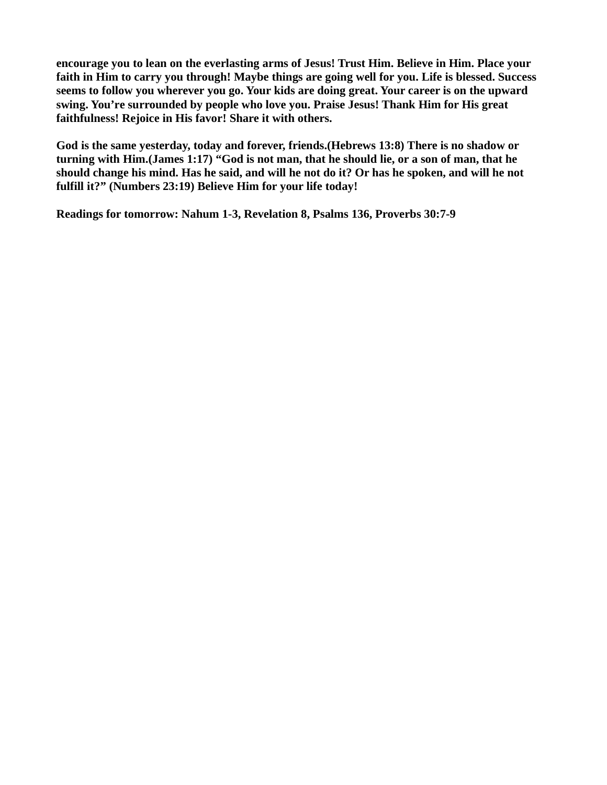encourage you to lean on the everlasting arms of Jesus! Trust Him. Believe in Him. Place your faith in Him to carry you through! Maybe things are going well for you. Life is blessed. Success seems to follow you wherever you go. Your kids are doing great. Your career is on the upward swing. You're surrounded by people who love you. Praise Jesus! Thank Him for His great faithfulness! Rejoice in His favor! Share it with others.

God is the same yesterday, today and forever, friends.(Hebrews 13:8) There is no shadow or turning with Him.(James 1:17) "God is not man, that he should lie, or a son of man, that he should change his mind. Has he said, and will he not do it? Or has he spoken, and will he not fulfill it?" (Numbers 23:19) Believe Him for your life today!

Readings for tomorrow: Nahum 1-3, Revelation 8, Psalms 136, Proverbs 30:7-9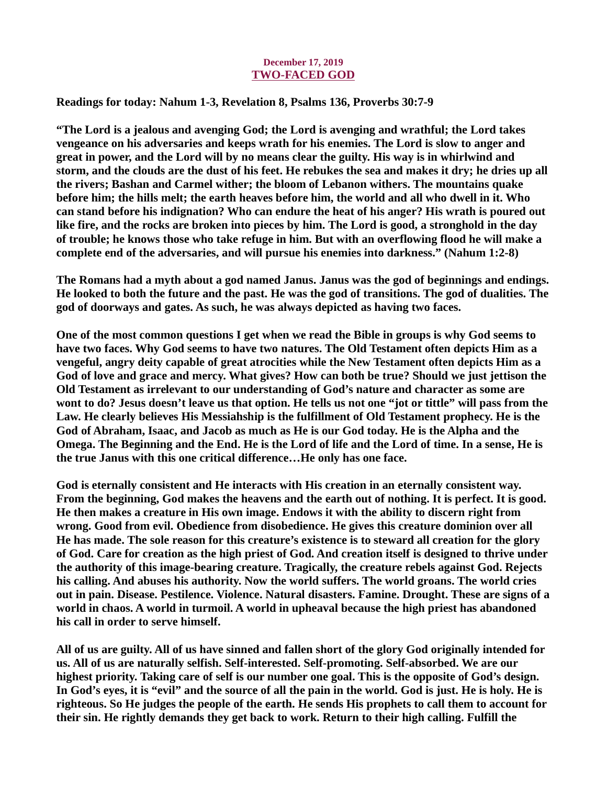#### December 17, 2019 TWO-FACED GOD

<span id="page-28-0"></span>[Readings for today: Nahum 1-3, Revelation 8, Psalms 136, Proverbs 30:7-9](https://www.biblegateway.com/passage/?search=Nahum+1-3%2C+Revelation+8%2C+Psalms+136%2C+Proverbs+30%3A7-9&version=ESV)

"The Lord is a jealous and avenging God; the Lord is avenging and wrathful; the Lord takes vengeance on his adversaries and keeps wrath for his enemies. The Lord is slow to anger and great in power, and the Lord will by no means clear the guilty. His way is in whirlwind and storm, and the clouds are the dust of his feet. He rebukes the sea and makes it dry; he dries up all the rivers; Bashan and Carmel wither; the bloom of Lebanon withers. The mountains quake before him; the hills melt; the earth heaves before him, the world and all who dwell in it. Who can stand before his indignation? Who can endure the heat of his anger? His wrath is poured out like fire, and the rocks are broken into pieces by him. The Lord is good, a stronghold in the day of trouble; he knows those who take refuge in him. But with an overflowing flood he will make a complete end of the adversaries, and will pursue his enemies into darkness." (Nahum 1:2-8)

The Romans had a myth about a god named Janus. Janus was the god of beginnings and endings. He looked to both the future and the past. He was the god of transitions. The god of dualities. The god of doorways and gates. As such, he was always depicted as having two faces.

One of the most common questions I get when we read the Bible in groups is why God seems to have two faces. Why God seems to have two natures. The Old Testament often depicts Him as a vengeful, angry deity capable of great atrocities while the New Testament often depicts Him as a God of love and grace and mercy. What gives? How can both be true? Should we just jettison the Old Testament as irrelevant to our understanding of God's nature and character as some are wont to do? Jesus doesn't leave us that option. He tells us not one "jot or tittle" will pass from the Law. He clearly believes His Messiahship is the fulfillment of Old Testament prophecy. He is the God of Abraham, Isaac, and Jacob as much as He is our God today. He is the Alpha and the Omega. The Beginning and the End. He is the Lord of life and the Lord of time. In a sense, He is the true Janus with this one critical difference…He only has one face.

God is eternally consistent and He interacts with His creation in an eternally consistent way. From the beginning, God makes the heavens and the earth out of nothing. It is perfect. It is good. He then makes a creature in His own image. Endows it with the ability to discern right from wrong. Good from evil. Obedience from disobedience. He gives this creature dominion over all He has made. The sole reason for this creature's existence is to steward all creation for the glory of God. Care for creation as the high priest of God. And creation itself is designed to thrive under the authority of this image-bearing creature. Tragically, the creature rebels against God. Rejects his calling. And abuses his authority. Now the world suffers. The world groans. The world cries out in pain. Disease. Pestilence. Violence. Natural disasters. Famine. Drought. These are signs of a world in chaos. A world in turmoil. A world in upheaval because the high priest has abandoned his call in order to serve himself.

All of us are guilty. All of us have sinned and fallen short of the glory God originally intended for us. All of us are naturally selfish. Self-interested. Self-promoting. Self-absorbed. We are our highest priority. Taking care of self is our number one goal. This is the opposite of God's design. In God's eyes, it is "evil" and the source of all the pain in the world. God is just. He is holy. He is righteous. So He judges the people of the earth. He sends His prophets to call them to account for their sin. He rightly demands they get back to work. Return to their high calling. Fulfill the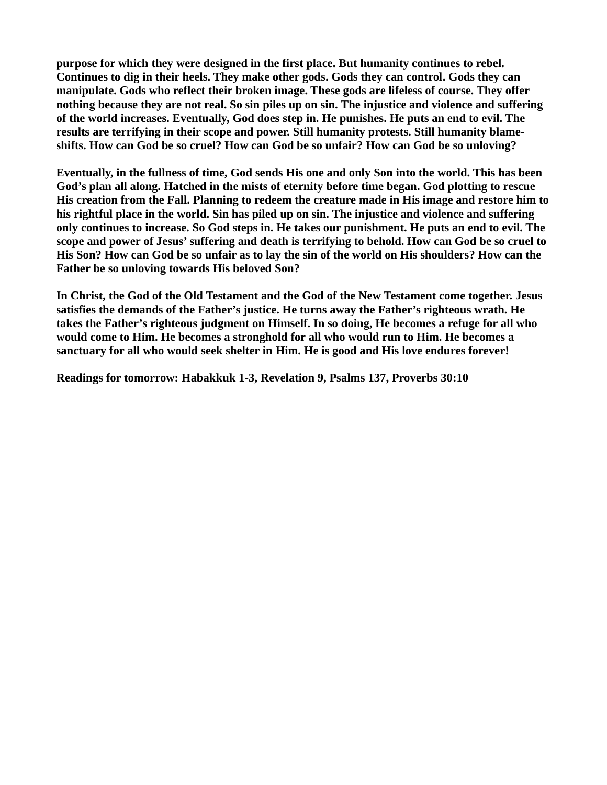purpose for which they were designed in the first place. But humanity continues to rebel. Continues to dig in their heels. They make other gods. Gods they can control. Gods they can manipulate. Gods who reflect their broken image. These gods are lifeless of course. They offer nothing because they are not real. So sin piles up on sin. The injustice and violence and suffering of the world increases. Eventually, God does step in. He punishes. He puts an end to evil. The results are terrifying in their scope and power. Still humanity protests. Still humanity blameshifts. How can God be so cruel? How can God be so unfair? How can God be so unloving?

Eventually, in the fullness of time, God sends His one and only Son into the world. This has been God's plan all along. Hatched in the mists of eternity before time began. God plotting to rescue His creation from the Fall. Planning to redeem the creature made in His image and restore him to his rightful place in the world. Sin has piled up on sin. The injustice and violence and suffering only continues to increase. So God steps in. He takes our punishment. He puts an end to evil. The scope and power of Jesus' suffering and death is terrifying to behold. How can God be so cruel to His Son? How can God be so unfair as to lay the sin of the world on His shoulders? How can the Father be so unloving towards His beloved Son?

In Christ, the God of the Old Testament and the God of the New Testament come together. Jesus satisfies the demands of the Father's justice. He turns away the Father's righteous wrath. He takes the Father's righteous judgment on Himself. In so doing, He becomes a refuge for all who would come to Him. He becomes a stronghold for all who would run to Him. He becomes a sanctuary for all who would seek shelter in Him. He is good and His love endures forever!

Readings for tomorrow: Habakkuk 1-3, Revelation 9, Psalms 137, Proverbs 30:10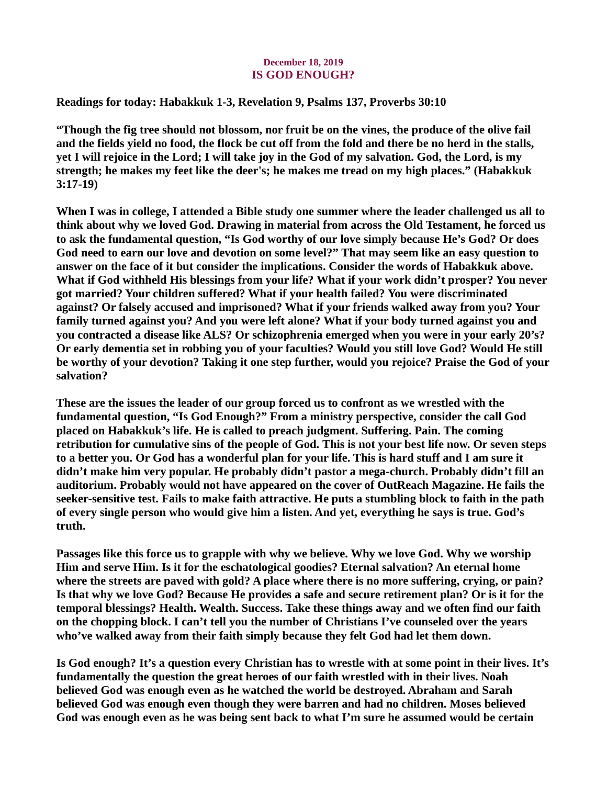#### December 18, 2019 IS GOD ENOUGH?

<span id="page-30-0"></span>[Readings for today: Habakkuk 1-3, Revelation 9, Psalms 137, Proverbs 30:10](https://www.biblegateway.com/passage/?search=Habakkuk+1-3%2C+Revelation+9%2C+Psalms+137%2C+Proverbs+30%3A10&version=ESV)

"Though the fig tree should not blossom, nor fruit be on the vines, the produce of the olive fail and the fields yield no food, the flock be cut off from the fold and there be no herd in the stalls, yet I will rejoice in the Lord; I will take joy in the God of my salvation. God, the Lord, is my strength; he makes my feet like the deer's; he makes me tread on my high places." (Habakkuk 3:17-19)

When I was in college, I attended a Bible study one summer where the leader challenged us all to think about why we loved God. Drawing in material from across the Old Testament, he forced us to ask the fundamental question, "Is God worthy of our love simply because He's God? Or does God need to earn our love and devotion on some level?" That may seem like an easy question to answer on the face of it but consider the implications. Consider the words of Habakkuk above. What if God withheld His blessings from your life? What if your work didn't prosper? You never got married? Your children suffered? What if your health failed? You were discriminated against? Or falsely accused and imprisoned? What if your friends walked away from you? Your family turned against you? And you were left alone? What if your body turned against you and you contracted a disease like ALS? Or schizophrenia emerged when you were in your early 20's? Or early dementia set in robbing you of your faculties? Would you still love God? Would He still be worthy of your devotion? Taking it one step further, would you rejoice? Praise the God of your salvation?

These are the issues the leader of our group forced us to confront as we wrestled with the fundamental question, "Is God Enough?" From a ministry perspective, consider the call God placed on Habakkuk's life. He is called to preach judgment. Suffering. Pain. The coming retribution for cumulative sins of the people of God. This is not your best life now. Or seven steps to a better you. Or God has a wonderful plan for your life. This is hard stuff and I am sure it didn't make him very popular. He probably didn't pastor a mega-church. Probably didn't fill an auditorium. Probably would not have appeared on the cover of OutReach Magazine. He fails the seeker-sensitive test. Fails to make faith attractive. He puts a stumbling block to faith in the path of every single person who would give him a listen. And yet, everything he says is true. God's truth.

Passages like this force us to grapple with why we believe. Why we love God. Why we worship Him and serve Him. Is it for the eschatological goodies? Eternal salvation? An eternal home where the streets are paved with gold? A place where there is no more suffering, crying, or pain? Is that why we love God? Because He provides a safe and secure retirement plan? Or is it for the temporal blessings? Health. Wealth. Success. Take these things away and we often find our faith on the chopping block. I can't tell you the number of Christians I've counseled over the years who've walked away from their faith simply because they felt God had let them down.

Is God enough? It's a question every Christian has to wrestle with at some point in their lives. It's fundamentally the question the great heroes of our faith wrestled with in their lives. Noah believed God was enough even as he watched the world be destroyed. Abraham and Sarah believed God was enough even though they were barren and had no children. Moses believed God was enough even as he was being sent back to what I'm sure he assumed would be certain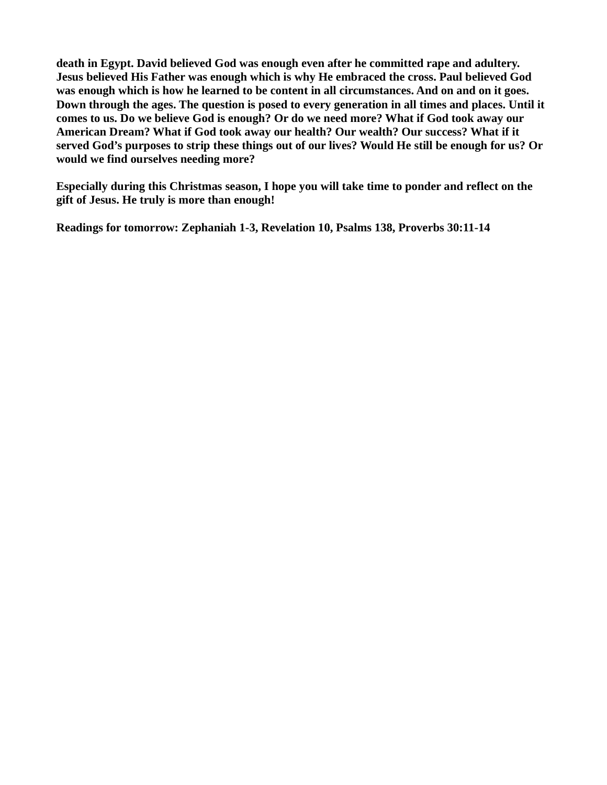death in Egypt. David believed God was enough even after he committed rape and adultery. Jesus believed His Father was enough which is why He embraced the cross. Paul believed God was enough which is how he learned to be content in all circumstances. And on and on it goes. Down through the ages. The question is posed to every generation in all times and places. Until it comes to us. Do we believe God is enough? Or do we need more? What if God took away our American Dream? What if God took away our health? Our wealth? Our success? What if it served God's purposes to strip these things out of our lives? Would He still be enough for us? Or would we find ourselves needing more?

Especially during this Christmas season, I hope you will take time to ponder and reflect on the gift of Jesus. He truly is more than enough!

Readings for tomorrow: Zephaniah 1-3, Revelation 10, Psalms 138, Proverbs 30:11-14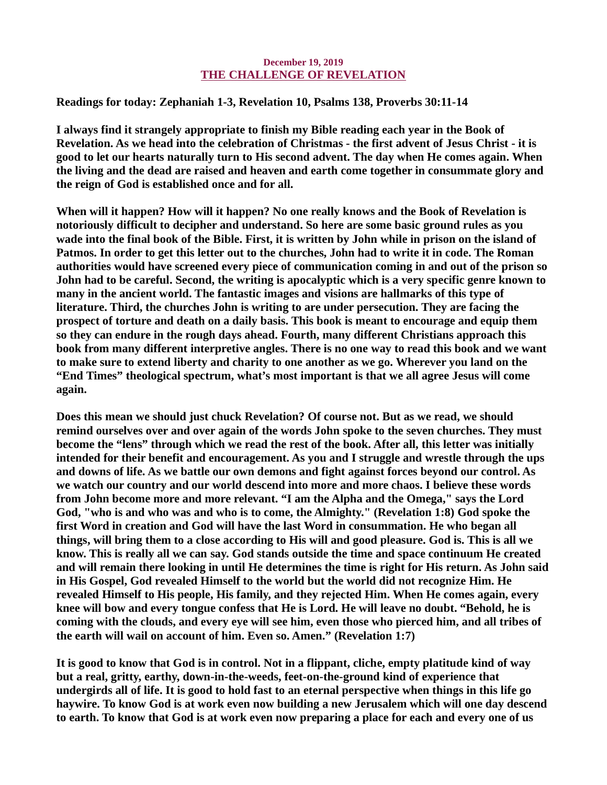#### December 19, 2019 THE CHALLENGE OF REVELATION

<span id="page-32-0"></span>[Readings for today: Zephaniah 1-3, Revelation 10, Psalms 138, Proverbs 30:11-14](https://www.biblegateway.com/passage/?search=Zephaniah+1-3%2C+Revelation+10%2C+Psalms+138%2C+Proverbs+30%3A11-14&version=ESV)

I always find it strangely appropriate to finish my Bible reading each year in the Book of Revelation. As we head into the celebration of Christmas - the first advent of Jesus Christ - it is good to let our hearts naturally turn to His second advent. The day when He comes again. When the living and the dead are raised and heaven and earth come together in consummate glory and the reign of God is established once and for all.

When will it happen? How will it happen? No one really knows and the Book of Revelation is notoriously difficult to decipher and understand. So here are some basic ground rules as you wade into the final book of the Bible. First, it is written by John while in prison on the island of Patmos. In order to get this letter out to the churches, John had to write it in code. The Roman authorities would have screened every piece of communication coming in and out of the prison so John had to be careful. Second, the writing is apocalyptic which is a very specific genre known to many in the ancient world. The fantastic images and visions are hallmarks of this type of literature. Third, the churches John is writing to are under persecution. They are facing the prospect of torture and death on a daily basis. This book is meant to encourage and equip them so they can endure in the rough days ahead. Fourth, many different Christians approach this book from many different interpretive angles. There is no one way to read this book and we want to make sure to extend liberty and charity to one another as we go. Wherever you land on the "End Times" theological spectrum, what's most important is that we all agree Jesus will come again.

Does this mean we should just chuck Revelation? Of course not. But as we read, we should remind ourselves over and over again of the words John spoke to the seven churches. They must become the "lens" through which we read the rest of the book. After all, this letter was initially intended for their benefit and encouragement. As you and I struggle and wrestle through the ups and downs of life. As we battle our own demons and fight against forces beyond our control. As we watch our country and our world descend into more and more chaos. I believe these words from John become more and more relevant. "I am the Alpha and the Omega," says the Lord God, "who is and who was and who is to come, the Almighty." (Revelation 1:8) God spoke the first Word in creation and God will have the last Word in consummation. He who began all things, will bring them to a close according to His will and good pleasure. God is. This is all we know. This is really all we can say. God stands outside the time and space continuum He created and will remain there looking in until He determines the time is right for His return. As John said in His Gospel, God revealed Himself to the world but the world did not recognize Him. He revealed Himself to His people, His family, and they rejected Him. When He comes again, every knee will bow and every tongue confess that He is Lord. He will leave no doubt. "Behold, he is coming with the clouds, and every eye will see him, even those who pierced him, and all tribes of the earth will wail on account of him. Even so. Amen." (Revelation 1:7)

It is good to know that God is in control. Not in a flippant, cliche, empty platitude kind of way but a real, gritty, earthy, down-in-the-weeds, feet-on-the-ground kind of experience that undergirds all of life. It is good to hold fast to an eternal perspective when things in this life go haywire. To know God is at work even now building a new Jerusalem which will one day descend to earth. To know that God is at work even now preparing a place for each and every one of us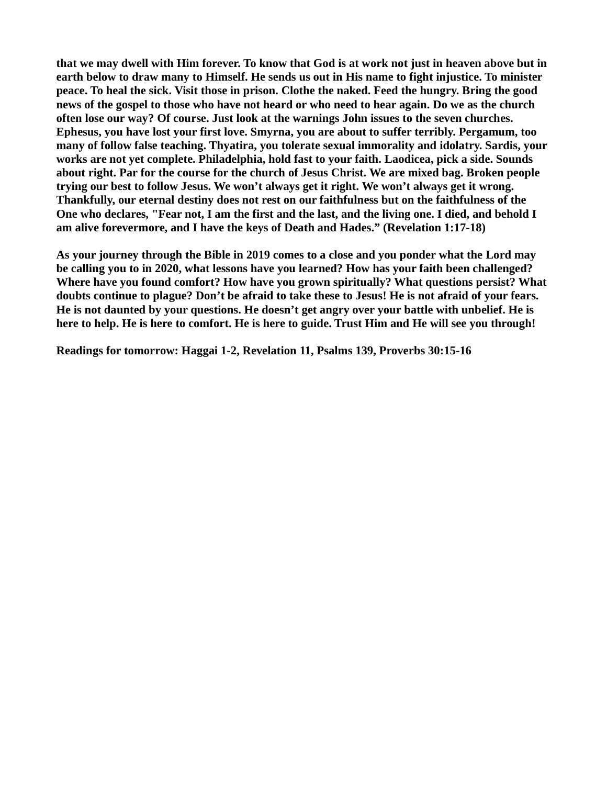that we may dwell with Him forever. To know that God is at work not just in heaven above but in earth below to draw many to Himself. He sends us out in His name to fight injustice. To minister peace. To heal the sick. Visit those in prison. Clothe the naked. Feed the hungry. Bring the good news of the gospel to those who have not heard or who need to hear again. Do we as the church often lose our way? Of course. Just look at the warnings John issues to the seven churches. Ephesus, you have lost your first love. Smyrna, you are about to suffer terribly. Pergamum, too many of follow false teaching. Thyatira, you tolerate sexual immorality and idolatry. Sardis, your works are not yet complete. Philadelphia, hold fast to your faith. Laodicea, pick a side. Sounds about right. Par for the course for the church of Jesus Christ. We are mixed bag. Broken people trying our best to follow Jesus. We won't always get it right. We won't always get it wrong. Thankfully, our eternal destiny does not rest on our faithfulness but on the faithfulness of the One who declares, "Fear not, I am the first and the last, and the living one. I died, and behold I am alive forevermore, and I have the keys of Death and Hades." (Revelation 1:17-18)

As your journey through the Bible in 2019 comes to a close and you ponder what the Lord may be calling you to in 2020, what lessons have you learned? How has your faith been challenged? Where have you found comfort? How have you grown spiritually? What questions persist? What doubts continue to plague? Don't be afraid to take these to Jesus! He is not afraid of your fears. He is not daunted by your questions. He doesn't get angry over your battle with unbelief. He is here to help. He is here to comfort. He is here to guide. Trust Him and He will see you through!

Readings for tomorrow: Haggai 1-2, Revelation 11, Psalms 139, Proverbs 30:15-16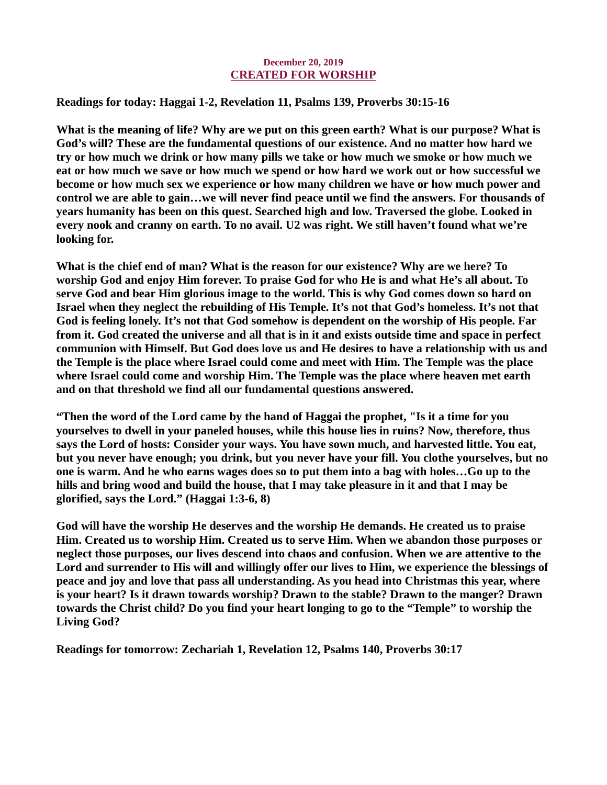#### December 20, 2019 CREATED FOR WORSHIP

#### <span id="page-34-0"></span>[Readings for today: Haggai 1-2, Revelation 11, Psalms 139, Proverbs 30:15-16](https://www.biblegateway.com/passage/?search=Haggai+1-2%2C+Revelation+11%2C+Psalms+139%2C+Proverbs+30%3A15-16&version=ESV)

What is the meaning of life? Why are we put on this green earth? What is our purpose? What is God's will? These are the fundamental questions of our existence. And no matter how hard we try or how much we drink or how many pills we take or how much we smoke or how much we eat or how much we save or how much we spend or how hard we work out or how successful we become or how much sex we experience or how many children we have or how much power and control we are able to gain…we will never find peace until we find the answers. For thousands of years humanity has been on this quest. Searched high and low. Traversed the globe. Looked in every nook and cranny on earth. To no avail. U2 was right. We still haven't found what we're looking for.

What is the chief end of man? What is the reason for our existence? Why are we here? To worship God and enjoy Him forever. To praise God for who He is and what He's all about. To serve God and bear Him glorious image to the world. This is why God comes down so hard on Israel when they neglect the rebuilding of His Temple. It's not that God's homeless. It's not that God is feeling lonely. It's not that God somehow is dependent on the worship of His people. Far from it. God created the universe and all that is in it and exists outside time and space in perfect communion with Himself. But God does love us and He desires to have a relationship with us and the Temple is the place where Israel could come and meet with Him. The Temple was the place where Israel could come and worship Him. The Temple was the place where heaven met earth and on that threshold we find all our fundamental questions answered.

"Then the word of the Lord came by the hand of Haggai the prophet, "Is it a time for you yourselves to dwell in your paneled houses, while this house lies in ruins? Now, therefore, thus says the Lord of hosts: Consider your ways. You have sown much, and harvested little. You eat, but you never have enough; you drink, but you never have your fill. You clothe yourselves, but no one is warm. And he who earns wages does so to put them into a bag with holes…Go up to the hills and bring wood and build the house, that I may take pleasure in it and that I may be glorified, says the Lord." (Haggai 1:3-6, 8)

God will have the worship He deserves and the worship He demands. He created us to praise Him. Created us to worship Him. Created us to serve Him. When we abandon those purposes or neglect those purposes, our lives descend into chaos and confusion. When we are attentive to the Lord and surrender to His will and willingly offer our lives to Him, we experience the blessings of peace and joy and love that pass all understanding. As you head into Christmas this year, where is your heart? Is it drawn towards worship? Drawn to the stable? Drawn to the manger? Drawn towards the Christ child? Do you find your heart longing to go to the "Temple" to worship the Living God?

Readings for tomorrow: Zechariah 1, Revelation 12, Psalms 140, Proverbs 30:17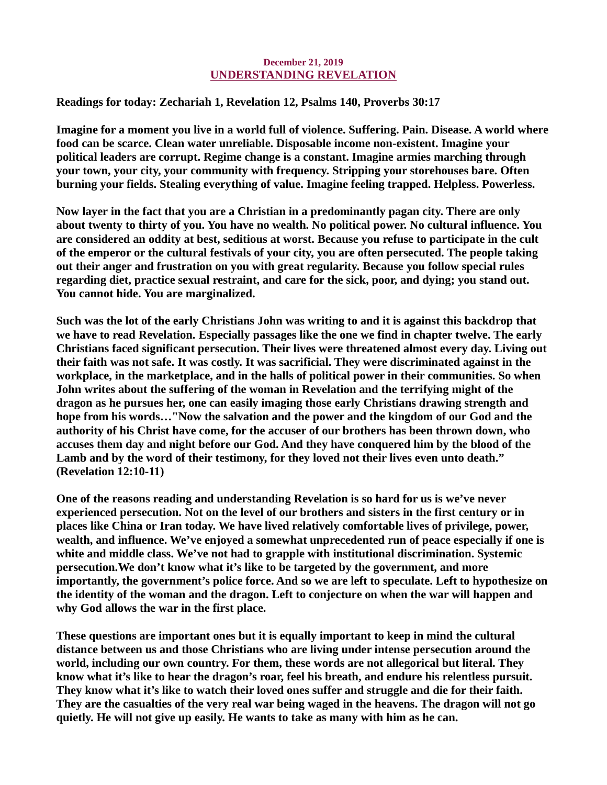#### December 21, 2019 UNDERSTANDING REVELATION

<span id="page-35-0"></span>[Readings for today: Zechariah 1, Revelation 12, Psalms 140, Proverbs 30:17](https://www.biblegateway.com/passage/?search=Zechariah+1%2C+Revelation+12%2C+Psalms+140%2C+Proverbs+30%3A17&version=ESV)

Imagine for a moment you live in a world full of violence. Suffering. Pain. Disease. A world where food can be scarce. Clean water unreliable. Disposable income non-existent. Imagine your political leaders are corrupt. Regime change is a constant. Imagine armies marching through your town, your city, your community with frequency. Stripping your storehouses bare. Often burning your fields. Stealing everything of value. Imagine feeling trapped. Helpless. Powerless.

Now layer in the fact that you are a Christian in a predominantly pagan city. There are only about twenty to thirty of you. You have no wealth. No political power. No cultural influence. You are considered an oddity at best, seditious at worst. Because you refuse to participate in the cult of the emperor or the cultural festivals of your city, you are often persecuted. The people taking out their anger and frustration on you with great regularity. Because you follow special rules regarding diet, practice sexual restraint, and care for the sick, poor, and dying; you stand out. You cannot hide. You are marginalized.

Such was the lot of the early Christians John was writing to and it is against this backdrop that we have to read Revelation. Especially passages like the one we find in chapter twelve. The early Christians faced significant persecution. Their lives were threatened almost every day. Living out their faith was not safe. It was costly. It was sacrificial. They were discriminated against in the workplace, in the marketplace, and in the halls of political power in their communities. So when John writes about the suffering of the woman in Revelation and the terrifying might of the dragon as he pursues her, one can easily imaging those early Christians drawing strength and hope from his words…"Now the salvation and the power and the kingdom of our God and the authority of his Christ have come, for the accuser of our brothers has been thrown down, who accuses them day and night before our God. And they have conquered him by the blood of the Lamb and by the word of their testimony, for they loved not their lives even unto death." (Revelation 12:10-11)

One of the reasons reading and understanding Revelation is so hard for us is we've never experienced persecution. Not on the level of our brothers and sisters in the first century or in places like China or Iran today. We have lived relatively comfortable lives of privilege, power, wealth, and influence. We've enjoyed a somewhat unprecedented run of peace especially if one is white and middle class. We've not had to grapple with institutional discrimination. Systemic persecution.We don't know what it's like to be targeted by the government, and more importantly, the government's police force. And so we are left to speculate. Left to hypothesize on the identity of the woman and the dragon. Left to conjecture on when the war will happen and why God allows the war in the first place.

These questions are important ones but it is equally important to keep in mind the cultural distance between us and those Christians who are living under intense persecution around the world, including our own country. For them, these words are not allegorical but literal. They know what it's like to hear the dragon's roar, feel his breath, and endure his relentless pursuit. They know what it's like to watch their loved ones suffer and struggle and die for their faith. They are the casualties of the very real war being waged in the heavens. The dragon will not go quietly. He will not give up easily. He wants to take as many with him as he can.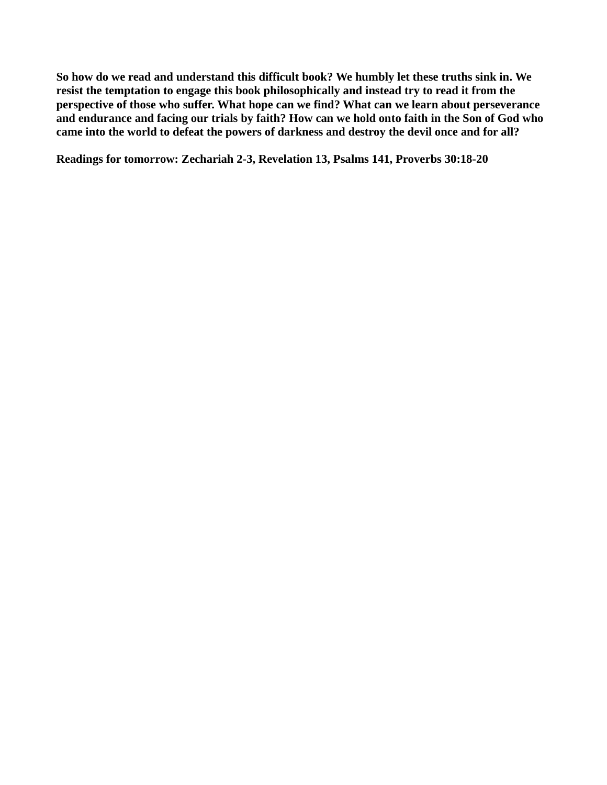So how do we read and understand this difficult book? We humbly let these truths sink in. We resist the temptation to engage this book philosophically and instead try to read it from the perspective of those who suffer. What hope can we find? What can we learn about perseverance and endurance and facing our trials by faith? How can we hold onto faith in the Son of God who came into the world to defeat the powers of darkness and destroy the devil once and for all?

Readings for tomorrow: Zechariah 2-3, Revelation 13, Psalms 141, Proverbs 30:18-20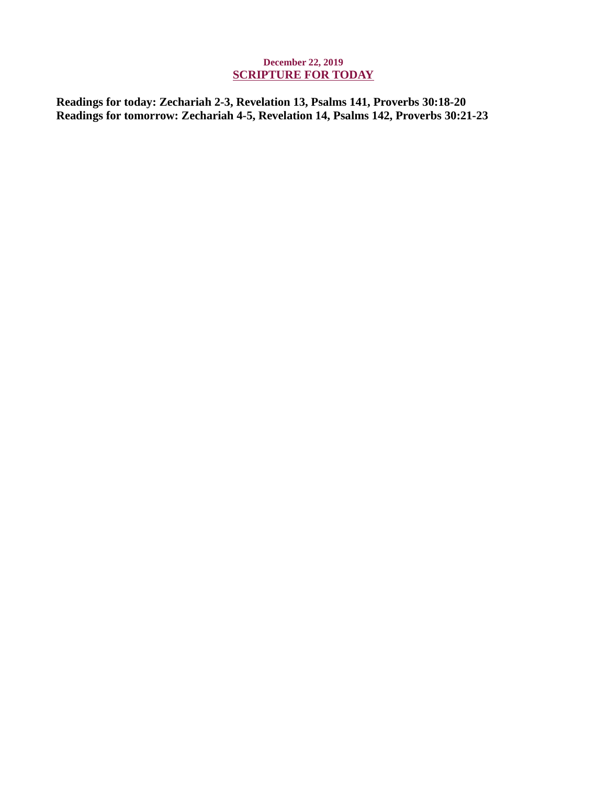#### December 22, 2019 **SCRIPTURE FOR TODAY**

<span id="page-37-0"></span>[Readings for today: Zechariah 2-3, Revelation 13, Psalms 141, Proverbs 30:18-20](https://www.biblegateway.com/passage/?search=Zechariah+2-3%2C+Revelation+13%2C+Psalms+141%2C+Proverbs+30%3A18-20&version=ESV) Readings for tomorrow: Zechariah 4-5, Revelation 14, Psalms 142, Proverbs 30:21-23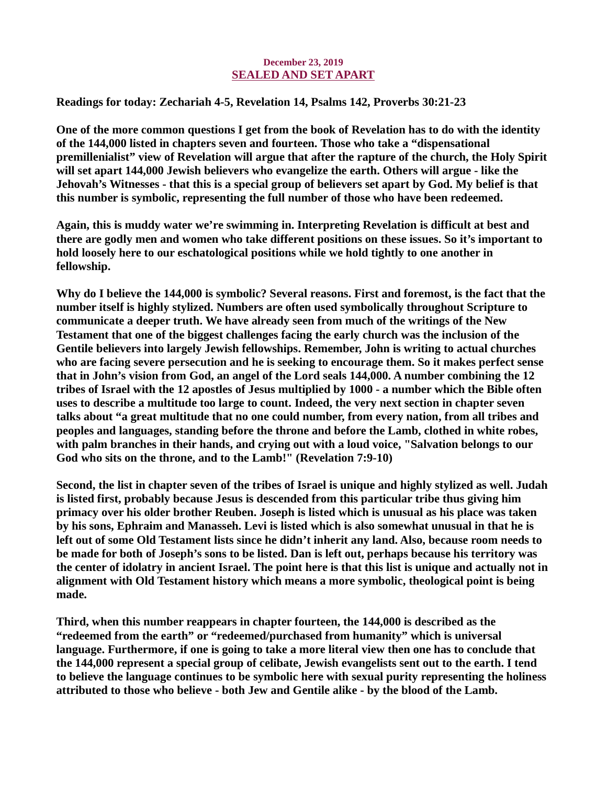#### December 23, 2019 SEALED AND SET APART

<span id="page-38-0"></span>[Readings for today: Zechariah 4-5, Revelation 14, Psalms 142, Proverbs 30:21-23](https://www.biblegateway.com/passage/?search=Zechariah+4-5%2C+Revelation+14%2C+Psalms+142%2C+Proverbs+30%3A21-23&version=ESV)

One of the more common questions I get from the book of Revelation has to do with the identity of the 144,000 listed in chapters seven and fourteen. Those who take a "dispensational premillenialist" view of Revelation will argue that after the rapture of the church, the Holy Spirit will set apart 144,000 Jewish believers who evangelize the earth. Others will argue - like the Jehovah's Witnesses - that this is a special group of believers set apart by God. My belief is that this number is symbolic, representing the full number of those who have been redeemed.

Again, this is muddy water we're swimming in. Interpreting Revelation is difficult at best and there are godly men and women who take different positions on these issues. So it's important to hold loosely here to our eschatological positions while we hold tightly to one another in fellowship.

Why do I believe the 144,000 is symbolic? Several reasons. First and foremost, is the fact that the number itself is highly stylized. Numbers are often used symbolically throughout Scripture to communicate a deeper truth. We have already seen from much of the writings of the New Testament that one of the biggest challenges facing the early church was the inclusion of the Gentile believers into largely Jewish fellowships. Remember, John is writing to actual churches who are facing severe persecution and he is seeking to encourage them. So it makes perfect sense that in John's vision from God, an angel of the Lord seals 144,000. A number combining the 12 tribes of Israel with the 12 apostles of Jesus multiplied by 1000 - a number which the Bible often uses to describe a multitude too large to count. Indeed, the very next section in chapter seven talks about "a great multitude that no one could number, from every nation, from all tribes and peoples and languages, standing before the throne and before the Lamb, clothed in white robes, with palm branches in their hands, and crying out with a loud voice, "Salvation belongs to our God who sits on the throne, and to the Lamb!" (Revelation 7:9-10)

Second, the list in chapter seven of the tribes of Israel is unique and highly stylized as well. Judah is listed first, probably because Jesus is descended from this particular tribe thus giving him primacy over his older brother Reuben. Joseph is listed which is unusual as his place was taken by his sons, Ephraim and Manasseh. Levi is listed which is also somewhat unusual in that he is left out of some Old Testament lists since he didn't inherit any land. Also, because room needs to be made for both of Joseph's sons to be listed. Dan is left out, perhaps because his territory was the center of idolatry in ancient Israel. The point here is that this list is unique and actually not in alignment with Old Testament history which means a more symbolic, theological point is being made.

Third, when this number reappears in chapter fourteen, the 144,000 is described as the "redeemed from the earth" or "redeemed/purchased from humanity" which is universal language. Furthermore, if one is going to take a more literal view then one has to conclude that the 144,000 represent a special group of celibate, Jewish evangelists sent out to the earth. I tend to believe the language continues to be symbolic here with sexual purity representing the holiness attributed to those who believe - both Jew and Gentile alike - by the blood of the Lamb.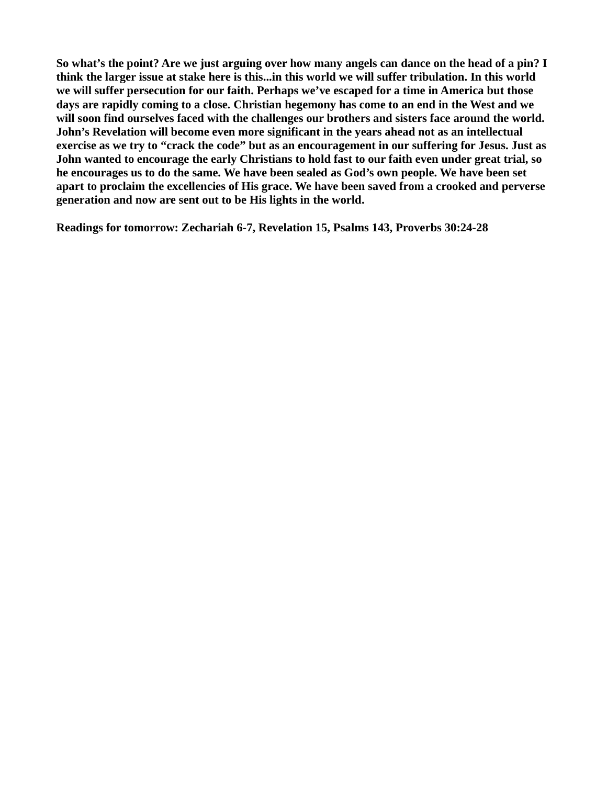So what's the point? Are we just arguing over how many angels can dance on the head of a pin? I think the larger issue at stake here is this...in this world we will suffer tribulation. In this world we will suffer persecution for our faith. Perhaps we've escaped for a time in America but those days are rapidly coming to a close. Christian hegemony has come to an end in the West and we will soon find ourselves faced with the challenges our brothers and sisters face around the world. John's Revelation will become even more significant in the years ahead not as an intellectual exercise as we try to "crack the code" but as an encouragement in our suffering for Jesus. Just as John wanted to encourage the early Christians to hold fast to our faith even under great trial, so he encourages us to do the same. We have been sealed as God's own people. We have been set apart to proclaim the excellencies of His grace. We have been saved from a crooked and perverse generation and now are sent out to be His lights in the world.

Readings for tomorrow: Zechariah 6-7, Revelation 15, Psalms 143, Proverbs 30:24-28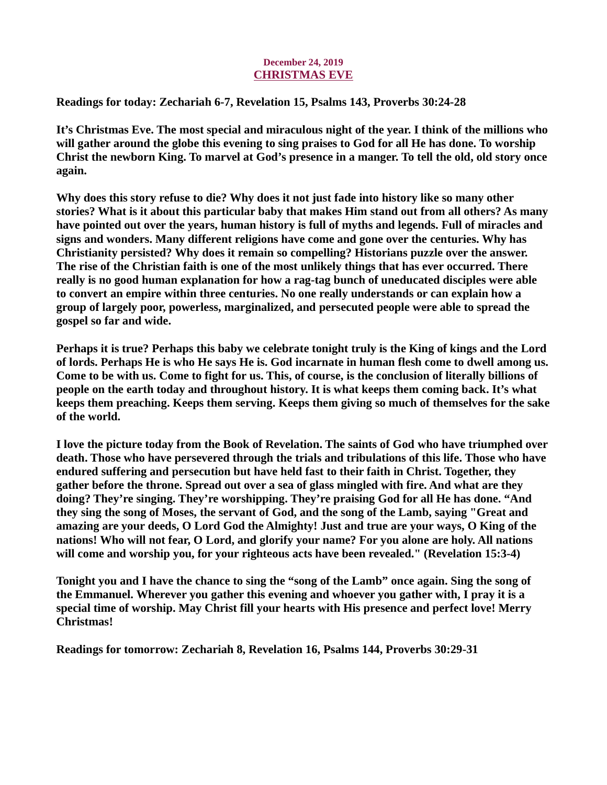#### December 24, 2019 CHRISTMAS EVE

<span id="page-40-0"></span>[Readings for today: Zechariah 6-7, Revelation 15, Psalms 143, Proverbs 30:24-28](https://www.biblegateway.com/passage/?search=Zechariah+6-7%2C+Revelation+15%2C+Psalms+143%2C+Proverbs+30%3A24-28&version=ESV)

It's Christmas Eve. The most special and miraculous night of the year. I think of the millions who will gather around the globe this evening to sing praises to God for all He has done. To worship Christ the newborn King. To marvel at God's presence in a manger. To tell the old, old story once again.

Why does this story refuse to die? Why does it not just fade into history like so many other stories? What is it about this particular baby that makes Him stand out from all others? As many have pointed out over the years, human history is full of myths and legends. Full of miracles and signs and wonders. Many different religions have come and gone over the centuries. Why has Christianity persisted? Why does it remain so compelling? Historians puzzle over the answer. The rise of the Christian faith is one of the most unlikely things that has ever occurred. There really is no good human explanation for how a rag-tag bunch of uneducated disciples were able to convert an empire within three centuries. No one really understands or can explain how a group of largely poor, powerless, marginalized, and persecuted people were able to spread the gospel so far and wide.

Perhaps it is true? Perhaps this baby we celebrate tonight truly is the King of kings and the Lord of lords. Perhaps He is who He says He is. God incarnate in human flesh come to dwell among us. Come to be with us. Come to fight for us. This, of course, is the conclusion of literally billions of people on the earth today and throughout history. It is what keeps them coming back. It's what keeps them preaching. Keeps them serving. Keeps them giving so much of themselves for the sake of the world.

I love the picture today from the Book of Revelation. The saints of God who have triumphed over death. Those who have persevered through the trials and tribulations of this life. Those who have endured suffering and persecution but have held fast to their faith in Christ. Together, they gather before the throne. Spread out over a sea of glass mingled with fire. And what are they doing? They're singing. They're worshipping. They're praising God for all He has done. "And they sing the song of Moses, the servant of God, and the song of the Lamb, saying "Great and amazing are your deeds, O Lord God the Almighty! Just and true are your ways, O King of the nations! Who will not fear, O Lord, and glorify your name? For you alone are holy. All nations will come and worship you, for your righteous acts have been revealed." (Revelation 15:3-4)

Tonight you and I have the chance to sing the "song of the Lamb" once again. Sing the song of the Emmanuel. Wherever you gather this evening and whoever you gather with, I pray it is a special time of worship. May Christ fill your hearts with His presence and perfect love! Merry Christmas!

Readings for tomorrow: Zechariah 8, Revelation 16, Psalms 144, Proverbs 30:29-31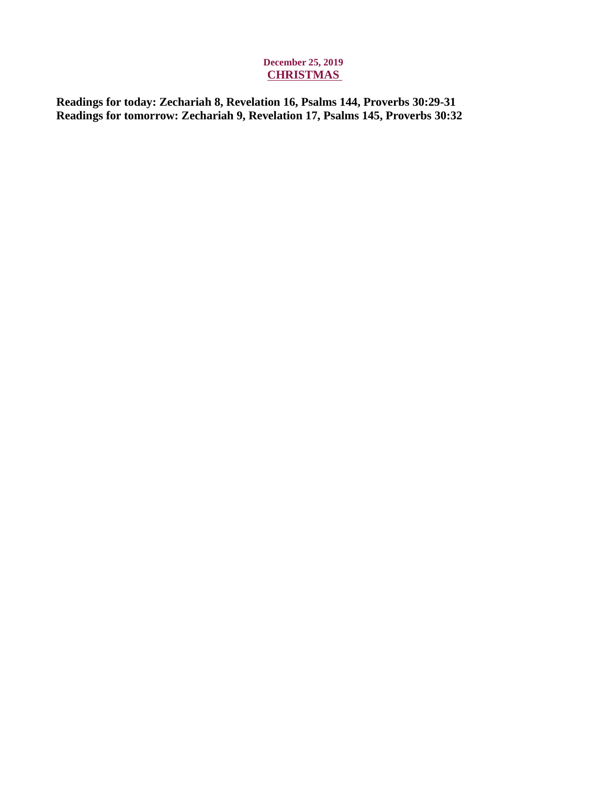### December 25, 2019 **CHRISTMAS**

<span id="page-41-0"></span>[Readings for today: Zechariah 8, Revelation 16, Psalms 144, Proverbs 30:29-31](https://www.biblegateway.com/passage/?search=Zechariah+8%2C+Revelation+16%2C+Psalms+144%2C+Proverbs+30%3A29-31&version=ESV) Readings for tomorrow: Zechariah 9, Revelation 17, Psalms 145, Proverbs 30:32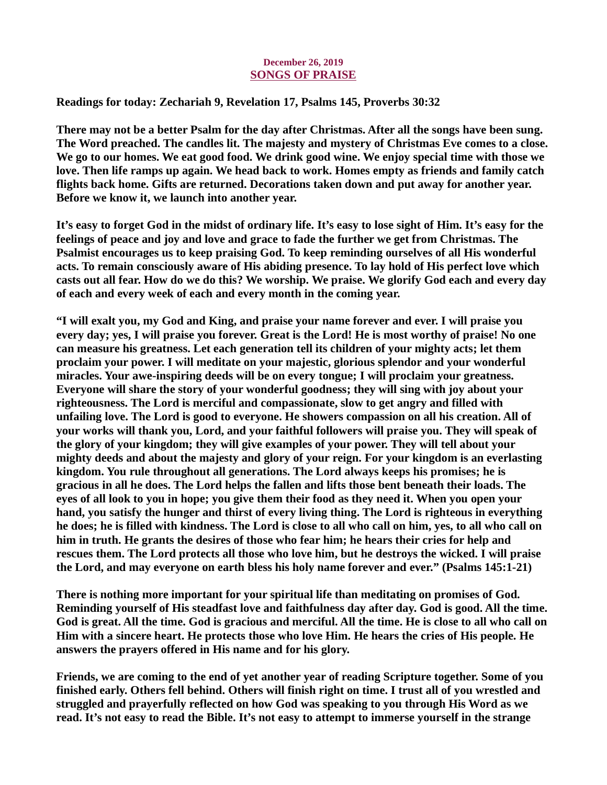#### December 26, 2019 SONGS OF PRAISE

#### <span id="page-42-0"></span>[Readings for today: Zechariah 9, Revelation 17, Psalms 145, Proverbs 30:32](https://www.biblegateway.com/passage/?search=Zechariah+9%2C+Revelation+17%2C+Psalms+145%2C+Proverbs+30%3A32&version=ESV)

There may not be a better Psalm for the day after Christmas. After all the songs have been sung. The Word preached. The candles lit. The majesty and mystery of Christmas Eve comes to a close. We go to our homes. We eat good food. We drink good wine. We enjoy special time with those we love. Then life ramps up again. We head back to work. Homes empty as friends and family catch flights back home. Gifts are returned. Decorations taken down and put away for another year. Before we know it, we launch into another year.

It's easy to forget God in the midst of ordinary life. It's easy to lose sight of Him. It's easy for the feelings of peace and joy and love and grace to fade the further we get from Christmas. The Psalmist encourages us to keep praising God. To keep reminding ourselves of all His wonderful acts. To remain consciously aware of His abiding presence. To lay hold of His perfect love which casts out all fear. How do we do this? We worship. We praise. We glorify God each and every day of each and every week of each and every month in the coming year.

"I will exalt you, my God and King, and praise your name forever and ever. I will praise you every day; yes, I will praise you forever. Great is the Lord! He is most worthy of praise! No one can measure his greatness. Let each generation tell its children of your mighty acts; let them proclaim your power. I will meditate on your majestic, glorious splendor and your wonderful miracles. Your awe-inspiring deeds will be on every tongue; I will proclaim your greatness. Everyone will share the story of your wonderful goodness; they will sing with joy about your righteousness. The Lord is merciful and compassionate, slow to get angry and filled with unfailing love. The Lord is good to everyone. He showers compassion on all his creation. All of your works will thank you, Lord, and your faithful followers will praise you. They will speak of the glory of your kingdom; they will give examples of your power. They will tell about your mighty deeds and about the majesty and glory of your reign. For your kingdom is an everlasting kingdom. You rule throughout all generations. The Lord always keeps his promises; he is gracious in all he does. The Lord helps the fallen and lifts those bent beneath their loads. The eyes of all look to you in hope; you give them their food as they need it. When you open your hand, you satisfy the hunger and thirst of every living thing. The Lord is righteous in everything he does; he is filled with kindness. The Lord is close to all who call on him, yes, to all who call on him in truth. He grants the desires of those who fear him; he hears their cries for help and rescues them. The Lord protects all those who love him, but he destroys the wicked. I will praise the Lord, and may everyone on earth bless his holy name forever and ever." (Psalms 145:1-21)

There is nothing more important for your spiritual life than meditating on promises of God. Reminding yourself of His steadfast love and faithfulness day after day. God is good. All the time. God is great. All the time. God is gracious and merciful. All the time. He is close to all who call on Him with a sincere heart. He protects those who love Him. He hears the cries of His people. He answers the prayers offered in His name and for his glory.

Friends, we are coming to the end of yet another year of reading Scripture together. Some of you finished early. Others fell behind. Others will finish right on time. I trust all of you wrestled and struggled and prayerfully reflected on how God was speaking to you through His Word as we read. It's not easy to read the Bible. It's not easy to attempt to immerse yourself in the strange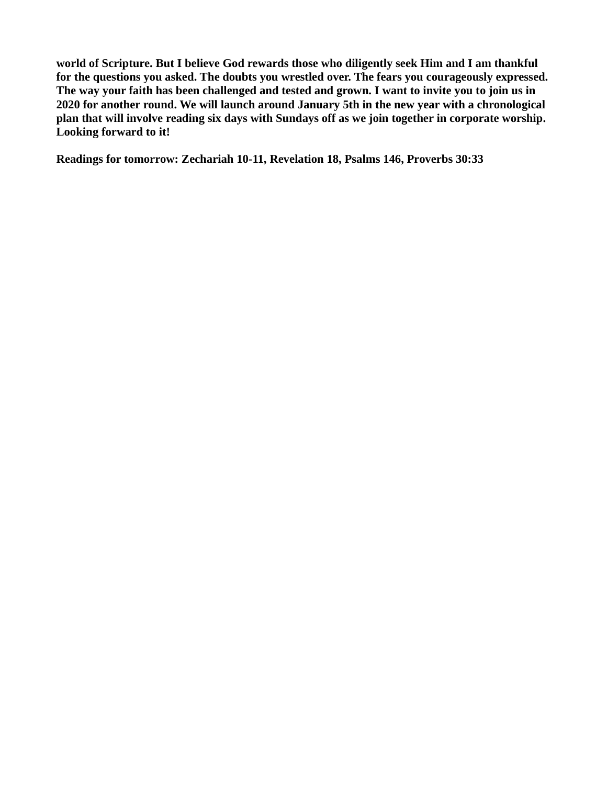world of Scripture. But I believe God rewards those who diligently seek Him and I am thankful for the questions you asked. The doubts you wrestled over. The fears you courageously expressed. The way your faith has been challenged and tested and grown. I want to invite you to join us in 2020 for another round. We will launch around January 5th in the new year with a chronological plan that will involve reading six days with Sundays off as we join together in corporate worship. Looking forward to it!

Readings for tomorrow: Zechariah 10-11, Revelation 18, Psalms 146, Proverbs 30:33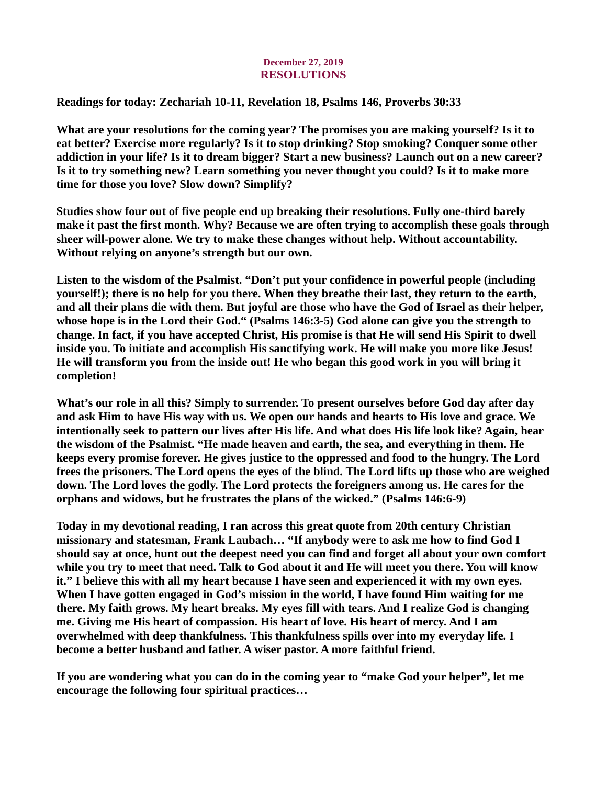#### December 27, 2019 RESOLUTIONS

<span id="page-44-0"></span>[Readings for today: Zechariah 10-11, Revelation 18, Psalms 146, Proverbs 30:33](https://www.biblegateway.com/passage/?search=Zechariah+10-11%2C+Revelation+18%2C+Psalms+146%2C+Proverbs+30%3A33&version=ESV)

What are your resolutions for the coming year? The promises you are making yourself? Is it to eat better? Exercise more regularly? Is it to stop drinking? Stop smoking? Conquer some other addiction in your life? Is it to dream bigger? Start a new business? Launch out on a new career? Is it to try something new? Learn something you never thought you could? Is it to make more time for those you love? Slow down? Simplify?

Studies show four out of five people end up breaking their resolutions. Fully one-third barely make it past the first month. Why? Because we are often trying to accomplish these goals through sheer will-power alone. We try to make these changes without help. Without accountability. Without relying on anyone's strength but our own.

Listen to the wisdom of the Psalmist. "Don't put your confidence in powerful people (including yourself!); there is no help for you there. When they breathe their last, they return to the earth, and all their plans die with them. But joyful are those who have the God of Israel as their helper, whose hope is in the Lord their God." (Psalms 146:3-5) God alone can give you the strength to change. In fact, if you have accepted Christ, His promise is that He will send His Spirit to dwell inside you. To initiate and accomplish His sanctifying work. He will make you more like Jesus! He will transform you from the inside out! He who began this good work in you will bring it completion!

What's our role in all this? Simply to surrender. To present ourselves before God day after day and ask Him to have His way with us. We open our hands and hearts to His love and grace. We intentionally seek to pattern our lives after His life. And what does His life look like? Again, hear the wisdom of the Psalmist. "He made heaven and earth, the sea, and everything in them. He keeps every promise forever. He gives justice to the oppressed and food to the hungry. The Lord frees the prisoners. The Lord opens the eyes of the blind. The Lord lifts up those who are weighed down. The Lord loves the godly. The Lord protects the foreigners among us. He cares for the orphans and widows, but he frustrates the plans of the wicked." (Psalms 146:6-9)

Today in my devotional reading, I ran across this great quote from 20th century Christian missionary and statesman, Frank Laubach… "If anybody were to ask me how to find God I should say at once, hunt out the deepest need you can find and forget all about your own comfort while you try to meet that need. Talk to God about it and He will meet you there. You will know it." I believe this with all my heart because I have seen and experienced it with my own eyes. When I have gotten engaged in God's mission in the world, I have found Him waiting for me there. My faith grows. My heart breaks. My eyes fill with tears. And I realize God is changing me. Giving me His heart of compassion. His heart of love. His heart of mercy. And I am overwhelmed with deep thankfulness. This thankfulness spills over into my everyday life. I become a better husband and father. A wiser pastor. A more faithful friend.

If you are wondering what you can do in the coming year to "make God your helper", let me encourage the following four spiritual practices…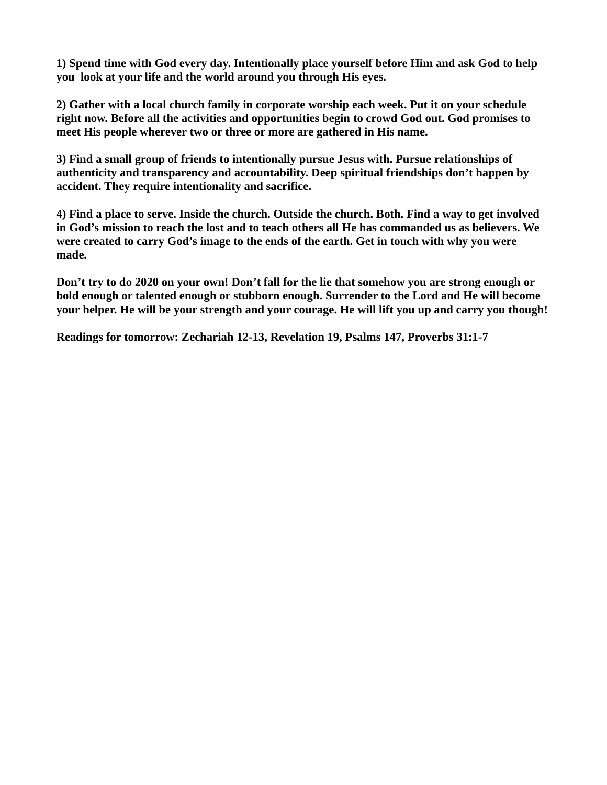1) Spend time with God every day. Intentionally place yourself before Him and ask God to help you look at your life and the world around you through His eyes.

2) Gather with a local church family in corporate worship each week. Put it on your schedule right now. Before all the activities and opportunities begin to crowd God out. God promises to meet His people wherever two or three or more are gathered in His name.

3) Find a small group of friends to intentionally pursue Jesus with. Pursue relationships of authenticity and transparency and accountability. Deep spiritual friendships don't happen by accident. They require intentionality and sacrifice.

4) Find a place to serve. Inside the church. Outside the church. Both. Find a way to get involved in God's mission to reach the lost and to teach others all He has commanded us as believers. We were created to carry God's image to the ends of the earth. Get in touch with why you were made.

Don't try to do 2020 on your own! Don't fall for the lie that somehow you are strong enough or bold enough or talented enough or stubborn enough. Surrender to the Lord and He will become your helper. He will be your strength and your courage. He will lift you up and carry you though!

Readings for tomorrow: Zechariah 12-13, Revelation 19, Psalms 147, Proverbs 31:1-7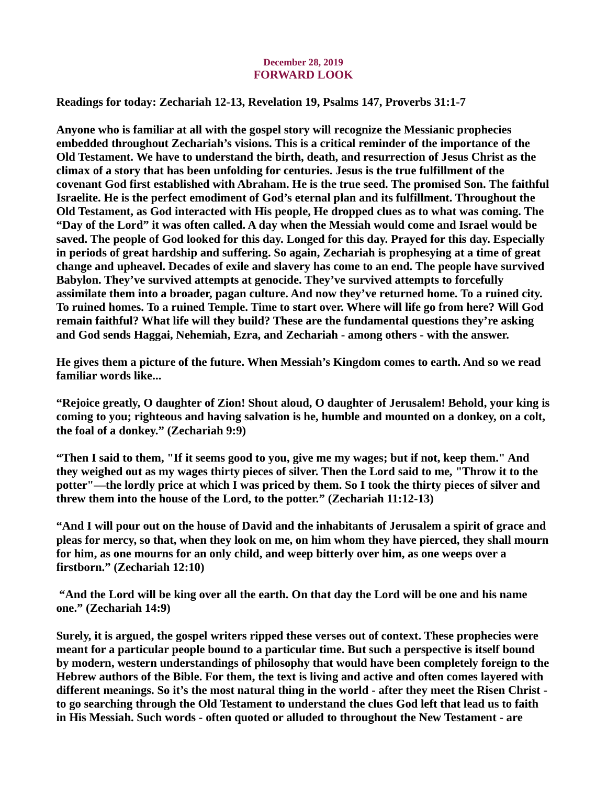#### December 28, 2019 FORWARD LOOK

<span id="page-46-0"></span>[Readings for today: Zechariah 12-13, Revelation 19, Psalms 147, Proverbs 31:1-7](https://www.biblegateway.com/passage/?search=Zechariah+12-13%2C+Revelation+19%2C+Psalms+147%2C+Proverbs+31%3A1-7&version=ESV)

Anyone who is familiar at all with the gospel story will recognize the Messianic prophecies embedded throughout Zechariah's visions. This is a critical reminder of the importance of the Old Testament. We have to understand the birth, death, and resurrection of Jesus Christ as the climax of a story that has been unfolding for centuries. Jesus is the true fulfillment of the covenant God first established with Abraham. He is the true seed. The promised Son. The faithful Israelite. He is the perfect emodiment of God's eternal plan and its fulfillment. Throughout the Old Testament, as God interacted with His people, He dropped clues as to what was coming. The "Day of the Lord" it was often called. A day when the Messiah would come and Israel would be saved. The people of God looked for this day. Longed for this day. Prayed for this day. Especially in periods of great hardship and suffering. So again, Zechariah is prophesying at a time of great change and upheavel. Decades of exile and slavery has come to an end. The people have survived Babylon. They've survived attempts at genocide. They've survived attempts to forcefully assimilate them into a broader, pagan culture. And now they've returned home. To a ruined city. To ruined homes. To a ruined Temple. Time to start over. Where will life go from here? Will God remain faithful? What life will they build? These are the fundamental questions they're asking and God sends Haggai, Nehemiah, Ezra, and Zechariah - among others - with the answer.

He gives them a picture of the future. When Messiah's Kingdom comes to earth. And so we read familiar words like...

"Rejoice greatly, O daughter of Zion! Shout aloud, O daughter of Jerusalem! Behold, your king is coming to you; righteous and having salvation is he, humble and mounted on a donkey, on a colt, the foal of a donkey." (Zechariah 9:9)

"Then I said to them, "If it seems good to you, give me my wages; but if not, keep them." And they weighed out as my wages thirty pieces of silver. Then the Lord said to me, "Throw it to the potter"—the lordly price at which I was priced by them. So I took the thirty pieces of silver and threw them into the house of the Lord, to the potter." (Zechariah 11:12-13)

"And I will pour out on the house of David and the inhabitants of Jerusalem a spirit of grace and pleas for mercy, so that, when they look on me, on him whom they have pierced, they shall mourn for him, as one mourns for an only child, and weep bitterly over him, as one weeps over a firstborn." (Zechariah 12:10)

 "And the Lord will be king over all the earth. On that day the Lord will be one and his name one." (Zechariah 14:9)

Surely, it is argued, the gospel writers ripped these verses out of context. These prophecies were meant for a particular people bound to a particular time. But such a perspective is itself bound by modern, western understandings of philosophy that would have been completely foreign to the Hebrew authors of the Bible. For them, the text is living and active and often comes layered with different meanings. So it's the most natural thing in the world - after they meet the Risen Christ to go searching through the Old Testament to understand the clues God left that lead us to faith in His Messiah. Such words - often quoted or alluded to throughout the New Testament - are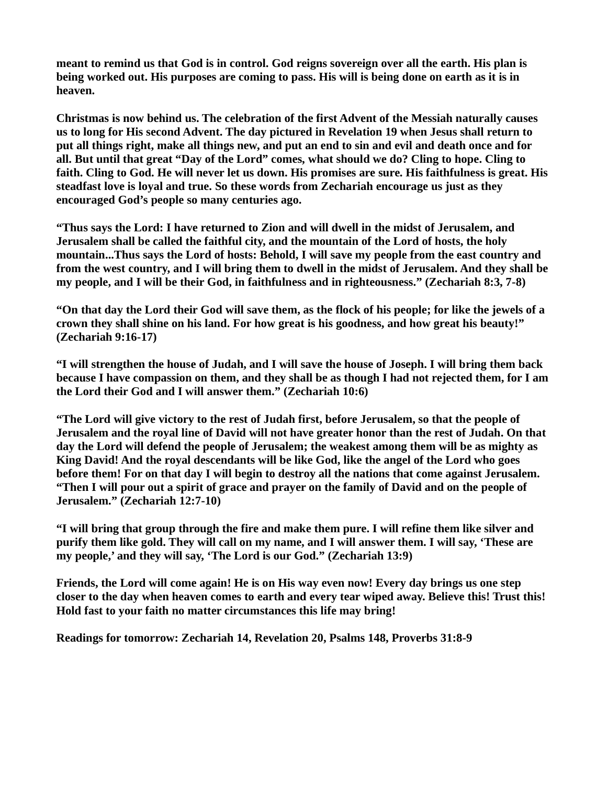meant to remind us that God is in control. God reigns sovereign over all the earth. His plan is being worked out. His purposes are coming to pass. His will is being done on earth as it is in heaven.

Christmas is now behind us. The celebration of the first Advent of the Messiah naturally causes us to long for His second Advent. The day pictured in Revelation 19 when Jesus shall return to put all things right, make all things new, and put an end to sin and evil and death once and for all. But until that great "Day of the Lord" comes, what should we do? Cling to hope. Cling to faith. Cling to God. He will never let us down. His promises are sure. His faithfulness is great. His steadfast love is loyal and true. So these words from Zechariah encourage us just as they encouraged God's people so many centuries ago.

"Thus says the Lord: I have returned to Zion and will dwell in the midst of Jerusalem, and Jerusalem shall be called the faithful city, and the mountain of the Lord of hosts, the holy mountain...Thus says the Lord of hosts: Behold, I will save my people from the east country and from the west country, and I will bring them to dwell in the midst of Jerusalem. And they shall be my people, and I will be their God, in faithfulness and in righteousness." (Zechariah 8:3, 7-8)

"On that day the Lord their God will save them, as the flock of his people; for like the jewels of a crown they shall shine on his land. For how great is his goodness, and how great his beauty!" (Zechariah 9:16-17)

"I will strengthen the house of Judah, and I will save the house of Joseph. I will bring them back because I have compassion on them, and they shall be as though I had not rejected them, for I am the Lord their God and I will answer them." (Zechariah 10:6)

"The Lord will give victory to the rest of Judah first, before Jerusalem, so that the people of Jerusalem and the royal line of David will not have greater honor than the rest of Judah. On that day the Lord will defend the people of Jerusalem; the weakest among them will be as mighty as King David! And the royal descendants will be like God, like the angel of the Lord who goes before them! For on that day I will begin to destroy all the nations that come against Jerusalem. "Then I will pour out a spirit of grace and prayer on the family of David and on the people of Jerusalem." (Zechariah 12:7-10)

"I will bring that group through the fire and make them pure. I will refine them like silver and purify them like gold. They will call on my name, and I will answer them. I will say, 'These are my people,' and they will say, 'The Lord is our God." (Zechariah 13:9)

Friends, the Lord will come again! He is on His way even now! Every day brings us one step closer to the day when heaven comes to earth and every tear wiped away. Believe this! Trust this! Hold fast to your faith no matter circumstances this life may bring!

Readings for tomorrow: Zechariah 14, Revelation 20, Psalms 148, Proverbs 31:8-9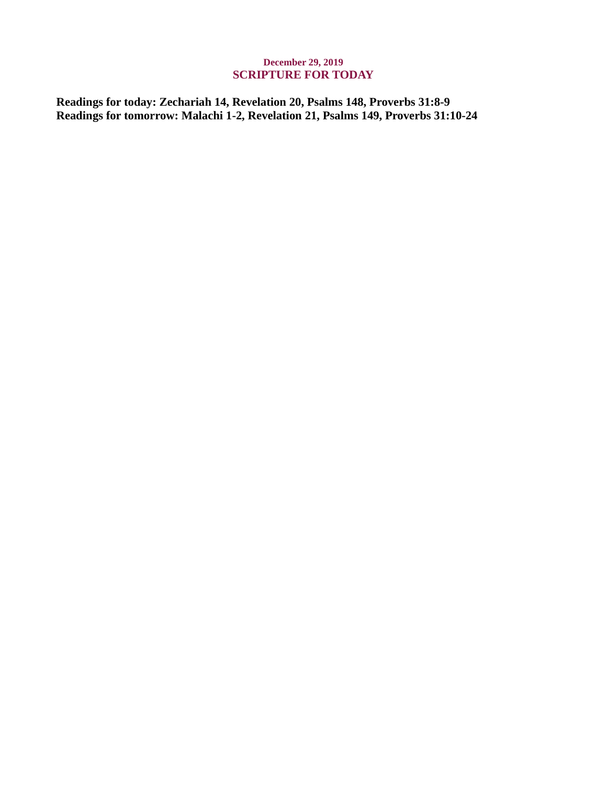#### December 29, 2019 SCRIPTURE FOR TODAY

<span id="page-48-0"></span>[Readings for today: Zechariah 14, Revelation 20, Psalms 148, Proverbs 31:8-9](https://www.biblegateway.com/passage/?search=Zechariah+14%2C+Revelation+20%2C+Psalms+148%2C+Proverbs+31%3A8-9&version=ESV) Readings for tomorrow: Malachi 1-2, Revelation 21, Psalms 149, Proverbs 31:10-24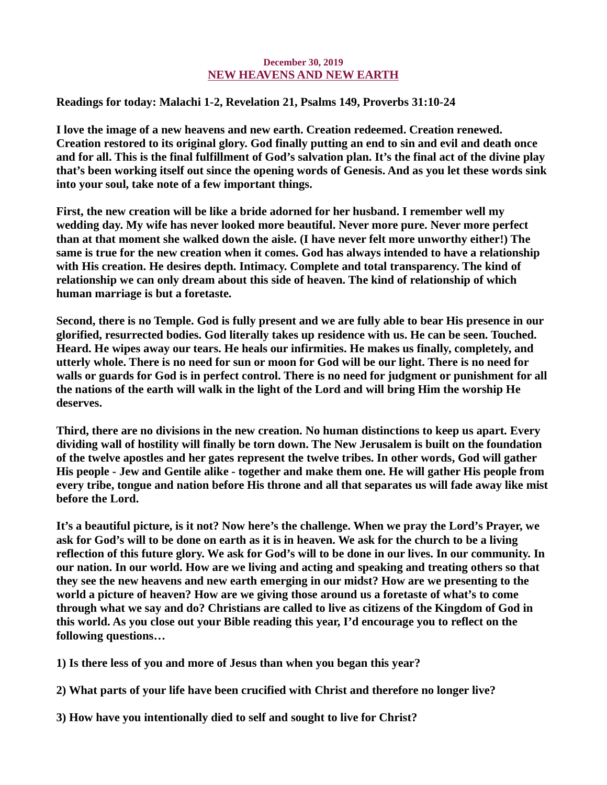#### December 30, 2019 NEW HEAVENS AND NEW EARTH

<span id="page-49-0"></span>[Readings for today: Malachi 1-2, Revelation 21, Psalms 149, Proverbs 31:10-24](https://www.biblegateway.com/passage/?search=Malachi+1-2%2C+Revelation+21%2C+Psalms+149%2C+Proverbs+31%3A10-24&version=ESV)

I love the image of a new heavens and new earth. Creation redeemed. Creation renewed. Creation restored to its original glory. God finally putting an end to sin and evil and death once and for all. This is the final fulfillment of God's salvation plan. It's the final act of the divine play that's been working itself out since the opening words of Genesis. And as you let these words sink into your soul, take note of a few important things.

First, the new creation will be like a bride adorned for her husband. I remember well my wedding day. My wife has never looked more beautiful. Never more pure. Never more perfect than at that moment she walked down the aisle. (I have never felt more unworthy either!) The same is true for the new creation when it comes. God has always intended to have a relationship with His creation. He desires depth. Intimacy. Complete and total transparency. The kind of relationship we can only dream about this side of heaven. The kind of relationship of which human marriage is but a foretaste.

Second, there is no Temple. God is fully present and we are fully able to bear His presence in our glorified, resurrected bodies. God literally takes up residence with us. He can be seen. Touched. Heard. He wipes away our tears. He heals our infirmities. He makes us finally, completely, and utterly whole. There is no need for sun or moon for God will be our light. There is no need for walls or guards for God is in perfect control. There is no need for judgment or punishment for all the nations of the earth will walk in the light of the Lord and will bring Him the worship He deserves.

Third, there are no divisions in the new creation. No human distinctions to keep us apart. Every dividing wall of hostility will finally be torn down. The New Jerusalem is built on the foundation of the twelve apostles and her gates represent the twelve tribes. In other words, God will gather His people - Jew and Gentile alike - together and make them one. He will gather His people from every tribe, tongue and nation before His throne and all that separates us will fade away like mist before the Lord.

It's a beautiful picture, is it not? Now here's the challenge. When we pray the Lord's Prayer, we ask for God's will to be done on earth as it is in heaven. We ask for the church to be a living reflection of this future glory. We ask for God's will to be done in our lives. In our community. In our nation. In our world. How are we living and acting and speaking and treating others so that they see the new heavens and new earth emerging in our midst? How are we presenting to the world a picture of heaven? How are we giving those around us a foretaste of what's to come through what we say and do? Christians are called to live as citizens of the Kingdom of God in this world. As you close out your Bible reading this year, I'd encourage you to reflect on the following questions…

1) Is there less of you and more of Jesus than when you began this year?

2) What parts of your life have been crucified with Christ and therefore no longer live?

3) How have you intentionally died to self and sought to live for Christ?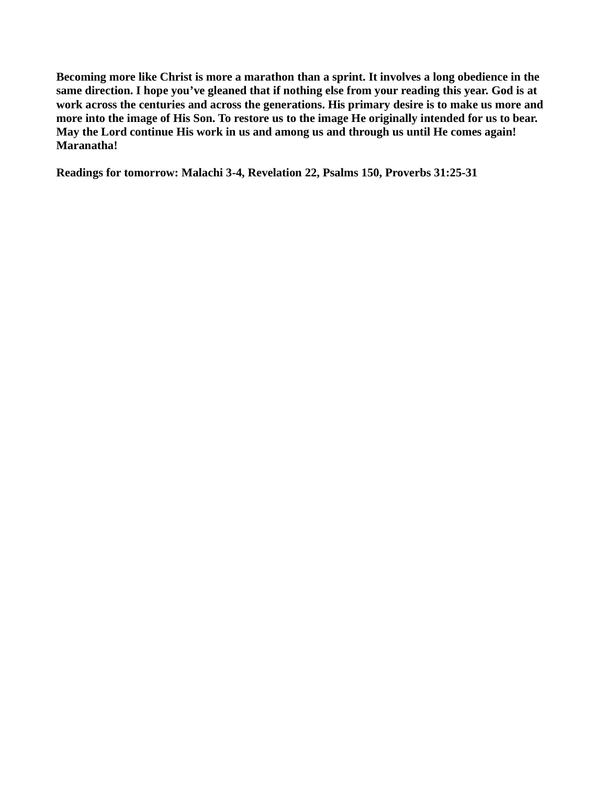Becoming more like Christ is more a marathon than a sprint. It involves a long obedience in the same direction. I hope you've gleaned that if nothing else from your reading this year. God is at work across the centuries and across the generations. His primary desire is to make us more and more into the image of His Son. To restore us to the image He originally intended for us to bear. May the Lord continue His work in us and among us and through us until He comes again! Maranatha!

Readings for tomorrow: Malachi 3-4, Revelation 22, Psalms 150, Proverbs 31:25-31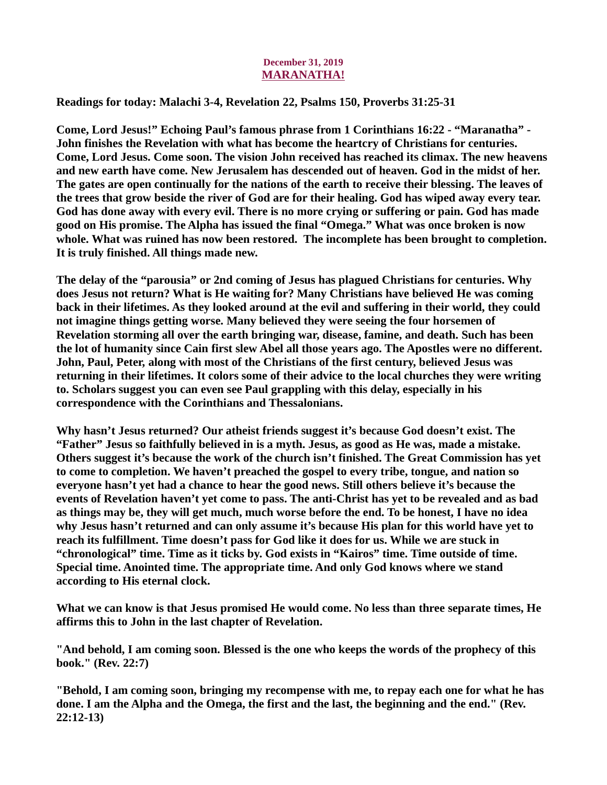#### December 31, 2019 MARANATHA!

#### <span id="page-51-0"></span>[Readings for today: Malachi 3-4, Revelation 22, Psalms 150, Proverbs 31:25-31](https://www.biblegateway.com/passage/?search=Malachi+3-4%2C+Revelation+22%2C+Psalms+150%2C+Proverbs+31%3A25-31&version=ESV)

Come, Lord Jesus!" Echoing Paul's famous phrase from 1 Corinthians 16:22 - "Maranatha" - John finishes the Revelation with what has become the heartcry of Christians for centuries. Come, Lord Jesus. Come soon. The vision John received has reached its climax. The new heavens and new earth have come. New Jerusalem has descended out of heaven. God in the midst of her. The gates are open continually for the nations of the earth to receive their blessing. The leaves of the trees that grow beside the river of God are for their healing. God has wiped away every tear. God has done away with every evil. There is no more crying or suffering or pain. God has made good on His promise. The Alpha has issued the final "Omega." What was once broken is now whole. What was ruined has now been restored. The incomplete has been brought to completion. It is truly finished. All things made new.

The delay of the "parousia" or 2nd coming of Jesus has plagued Christians for centuries. Why does Jesus not return? What is He waiting for? Many Christians have believed He was coming back in their lifetimes. As they looked around at the evil and suffering in their world, they could not imagine things getting worse. Many believed they were seeing the four horsemen of Revelation storming all over the earth bringing war, disease, famine, and death. Such has been the lot of humanity since Cain first slew Abel all those years ago. The Apostles were no different. John, Paul, Peter, along with most of the Christians of the first century, believed Jesus was returning in their lifetimes. It colors some of their advice to the local churches they were writing to. Scholars suggest you can even see Paul grappling with this delay, especially in his correspondence with the Corinthians and Thessalonians.

Why hasn't Jesus returned? Our atheist friends suggest it's because God doesn't exist. The "Father" Jesus so faithfully believed in is a myth. Jesus, as good as He was, made a mistake. Others suggest it's because the work of the church isn't finished. The Great Commission has yet to come to completion. We haven't preached the gospel to every tribe, tongue, and nation so everyone hasn't yet had a chance to hear the good news. Still others believe it's because the events of Revelation haven't yet come to pass. The anti-Christ has yet to be revealed and as bad as things may be, they will get much, much worse before the end. To be honest, I have no idea why Jesus hasn't returned and can only assume it's because His plan for this world have yet to reach its fulfillment. Time doesn't pass for God like it does for us. While we are stuck in "chronological" time. Time as it ticks by. God exists in "Kairos" time. Time outside of time. Special time. Anointed time. The appropriate time. And only God knows where we stand according to His eternal clock.

What we can know is that Jesus promised He would come. No less than three separate times, He affirms this to John in the last chapter of Revelation.

"And behold, I am coming soon. Blessed is the one who keeps the words of the prophecy of this book." (Rev. 22:7)

"Behold, I am coming soon, bringing my recompense with me, to repay each one for what he has done. I am the Alpha and the Omega, the first and the last, the beginning and the end." (Rev. 22:12-13)